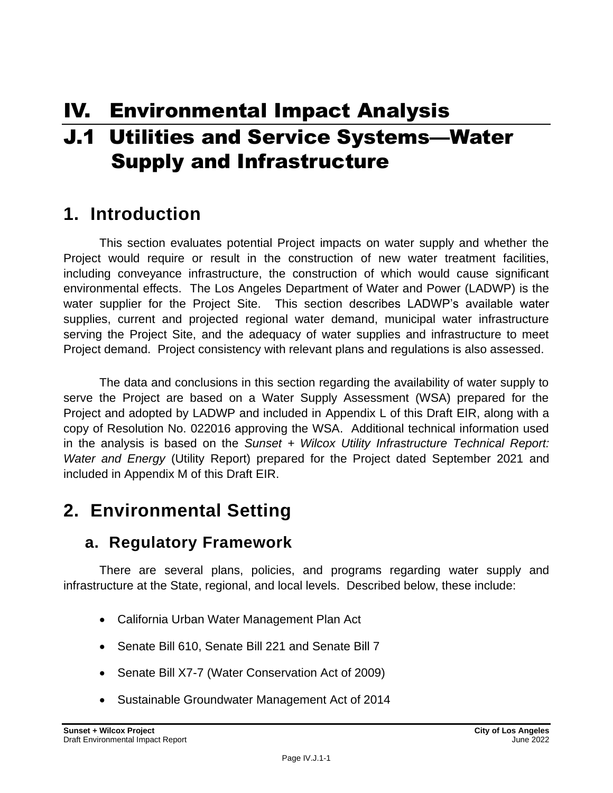# IV. Environmental Impact Analysis

# J.1 Utilities and Service Systems—Water Supply and Infrastructure

## **1. Introduction**

This section evaluates potential Project impacts on water supply and whether the Project would require or result in the construction of new water treatment facilities, including conveyance infrastructure, the construction of which would cause significant environmental effects. The Los Angeles Department of Water and Power (LADWP) is the water supplier for the Project Site. This section describes LADWP's available water supplies, current and projected regional water demand, municipal water infrastructure serving the Project Site, and the adequacy of water supplies and infrastructure to meet Project demand. Project consistency with relevant plans and regulations is also assessed.

The data and conclusions in this section regarding the availability of water supply to serve the Project are based on a Water Supply Assessment (WSA) prepared for the Project and adopted by LADWP and included in Appendix L of this Draft EIR, along with a copy of Resolution No. 022016 approving the WSA. Additional technical information used in the analysis is based on the *Sunset + Wilcox Utility Infrastructure Technical Report: Water and Energy* (Utility Report) prepared for the Project dated September 2021 and included in Appendix M of this Draft EIR.

# **2. Environmental Setting**

## **a. Regulatory Framework**

There are several plans, policies, and programs regarding water supply and infrastructure at the State, regional, and local levels. Described below, these include:

- California Urban Water Management Plan Act
- Senate Bill 610, Senate Bill 221 and Senate Bill 7
- Senate Bill X7-7 (Water Conservation Act of 2009)
- Sustainable Groundwater Management Act of 2014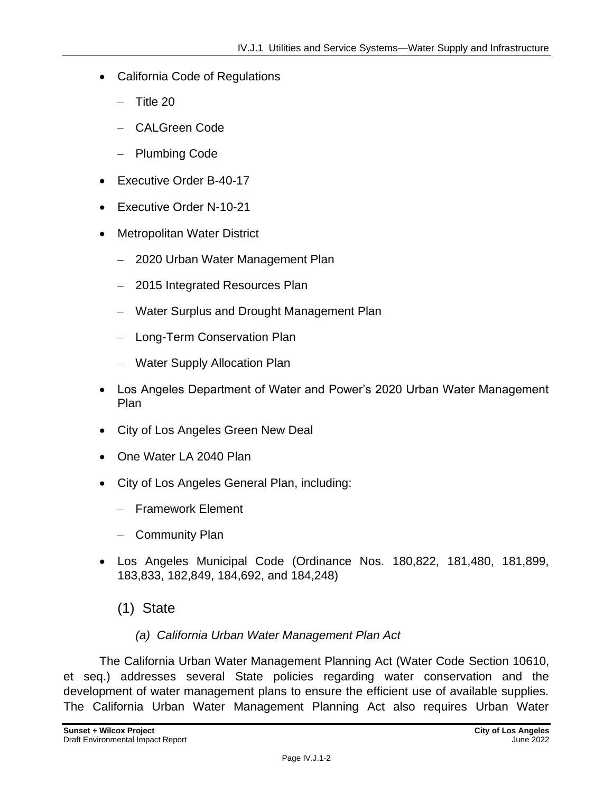- California Code of Regulations
	- Title 20
	- CALGreen Code
	- Plumbing Code
- Executive Order B-40-17
- Executive Order N-10-21
- Metropolitan Water District
	- 2020 Urban Water Management Plan
	- 2015 Integrated Resources Plan
	- Water Surplus and Drought Management Plan
	- Long-Term Conservation Plan
	- Water Supply Allocation Plan
- Los Angeles Department of Water and Power's 2020 Urban Water Management Plan
- City of Los Angeles Green New Deal
- One Water LA 2040 Plan
- City of Los Angeles General Plan, including:
	- Framework Element
	- Community Plan
- Los Angeles Municipal Code (Ordinance Nos. 180,822, 181,480, 181,899, 183,833, 182,849, 184,692, and 184,248)
	- (1) State

#### *(a) California Urban Water Management Plan Act*

The California Urban Water Management Planning Act (Water Code Section 10610, et seq.) addresses several State policies regarding water conservation and the development of water management plans to ensure the efficient use of available supplies. The California Urban Water Management Planning Act also requires Urban Water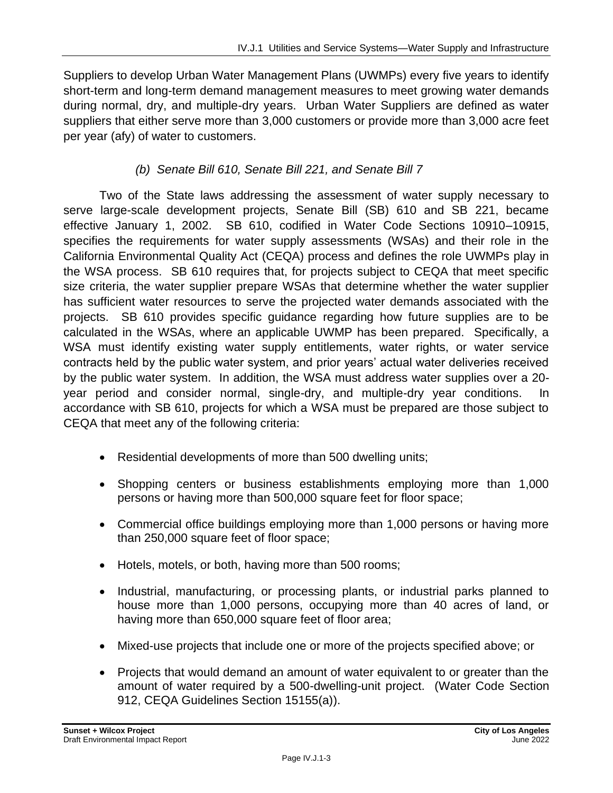Suppliers to develop Urban Water Management Plans (UWMPs) every five years to identify short-term and long-term demand management measures to meet growing water demands during normal, dry, and multiple-dry years. Urban Water Suppliers are defined as water suppliers that either serve more than 3,000 customers or provide more than 3,000 acre feet per year (afy) of water to customers.

#### *(b) Senate Bill 610, Senate Bill 221, and Senate Bill 7*

Two of the State laws addressing the assessment of water supply necessary to serve large-scale development projects, Senate Bill (SB) 610 and SB 221, became effective January 1, 2002. SB 610, codified in Water Code Sections 10910–10915, specifies the requirements for water supply assessments (WSAs) and their role in the California Environmental Quality Act (CEQA) process and defines the role UWMPs play in the WSA process. SB 610 requires that, for projects subject to CEQA that meet specific size criteria, the water supplier prepare WSAs that determine whether the water supplier has sufficient water resources to serve the projected water demands associated with the projects. SB 610 provides specific guidance regarding how future supplies are to be calculated in the WSAs, where an applicable UWMP has been prepared. Specifically, a WSA must identify existing water supply entitlements, water rights, or water service contracts held by the public water system, and prior years' actual water deliveries received by the public water system. In addition, the WSA must address water supplies over a 20 year period and consider normal, single-dry, and multiple-dry year conditions. In accordance with SB 610, projects for which a WSA must be prepared are those subject to CEQA that meet any of the following criteria:

- Residential developments of more than 500 dwelling units;
- Shopping centers or business establishments employing more than 1,000 persons or having more than 500,000 square feet for floor space;
- Commercial office buildings employing more than 1,000 persons or having more than 250,000 square feet of floor space;
- Hotels, motels, or both, having more than 500 rooms;
- Industrial, manufacturing, or processing plants, or industrial parks planned to house more than 1,000 persons, occupying more than 40 acres of land, or having more than 650,000 square feet of floor area;
- Mixed-use projects that include one or more of the projects specified above; or
- Projects that would demand an amount of water equivalent to or greater than the amount of water required by a 500-dwelling-unit project. (Water Code Section 912, CEQA Guidelines Section 15155(a)).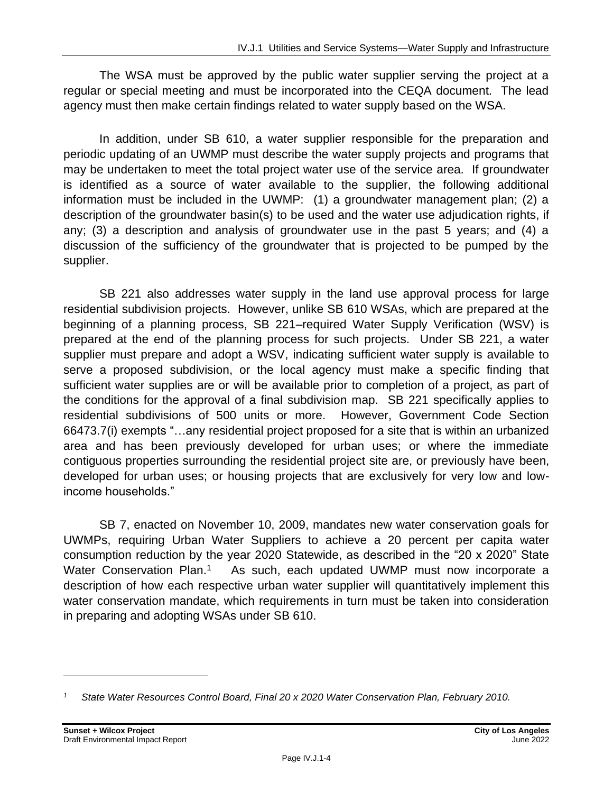The WSA must be approved by the public water supplier serving the project at a regular or special meeting and must be incorporated into the CEQA document. The lead agency must then make certain findings related to water supply based on the WSA.

In addition, under SB 610, a water supplier responsible for the preparation and periodic updating of an UWMP must describe the water supply projects and programs that may be undertaken to meet the total project water use of the service area. If groundwater is identified as a source of water available to the supplier, the following additional information must be included in the UWMP: (1) a groundwater management plan; (2) a description of the groundwater basin(s) to be used and the water use adjudication rights, if any; (3) a description and analysis of groundwater use in the past 5 years; and (4) a discussion of the sufficiency of the groundwater that is projected to be pumped by the supplier.

SB 221 also addresses water supply in the land use approval process for large residential subdivision projects. However, unlike SB 610 WSAs, which are prepared at the beginning of a planning process, SB 221–required Water Supply Verification (WSV) is prepared at the end of the planning process for such projects. Under SB 221, a water supplier must prepare and adopt a WSV, indicating sufficient water supply is available to serve a proposed subdivision, or the local agency must make a specific finding that sufficient water supplies are or will be available prior to completion of a project, as part of the conditions for the approval of a final subdivision map. SB 221 specifically applies to residential subdivisions of 500 units or more. However, Government Code Section 66473.7(i) exempts "…any residential project proposed for a site that is within an urbanized area and has been previously developed for urban uses; or where the immediate contiguous properties surrounding the residential project site are, or previously have been, developed for urban uses; or housing projects that are exclusively for very low and lowincome households."

SB 7, enacted on November 10, 2009, mandates new water conservation goals for UWMPs, requiring Urban Water Suppliers to achieve a 20 percent per capita water consumption reduction by the year 2020 Statewide, as described in the "20 x 2020" State Water Conservation Plan.<sup>1</sup> As such, each updated UWMP must now incorporate a description of how each respective urban water supplier will quantitatively implement this water conservation mandate, which requirements in turn must be taken into consideration in preparing and adopting WSAs under SB 610.

*<sup>1</sup> State Water Resources Control Board, Final 20 x 2020 Water Conservation Plan, February 2010.*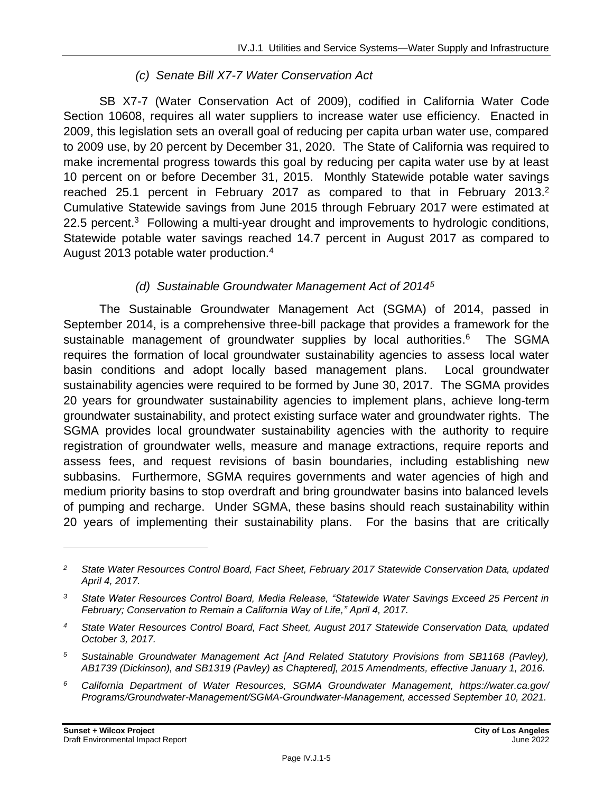#### *(c) Senate Bill X7-7 Water Conservation Act*

SB X7-7 (Water Conservation Act of 2009), codified in California Water Code Section 10608, requires all water suppliers to increase water use efficiency. Enacted in 2009, this legislation sets an overall goal of reducing per capita urban water use, compared to 2009 use, by 20 percent by December 31, 2020. The State of California was required to make incremental progress towards this goal by reducing per capita water use by at least 10 percent on or before December 31, 2015. Monthly Statewide potable water savings reached 25.1 percent in February 2017 as compared to that in February 2013.<sup>2</sup> Cumulative Statewide savings from June 2015 through February 2017 were estimated at  $22.5$  percent.<sup>3</sup> Following a multi-year drought and improvements to hydrologic conditions, Statewide potable water savings reached 14.7 percent in August 2017 as compared to August 2013 potable water production.<sup>4</sup>

#### *(d) Sustainable Groundwater Management Act of 2014<sup>5</sup>*

The Sustainable Groundwater Management Act (SGMA) of 2014, passed in September 2014, is a comprehensive three-bill package that provides a framework for the sustainable management of groundwater supplies by local authorities.<sup>6</sup> The SGMA requires the formation of local groundwater sustainability agencies to assess local water basin conditions and adopt locally based management plans. Local groundwater sustainability agencies were required to be formed by June 30, 2017. The SGMA provides 20 years for groundwater sustainability agencies to implement plans, achieve long-term groundwater sustainability, and protect existing surface water and groundwater rights. The SGMA provides local groundwater sustainability agencies with the authority to require registration of groundwater wells, measure and manage extractions, require reports and assess fees, and request revisions of basin boundaries, including establishing new subbasins. Furthermore, SGMA requires governments and water agencies of high and medium priority basins to stop overdraft and bring groundwater basins into balanced levels of pumping and recharge. Under SGMA, these basins should reach sustainability within 20 years of implementing their sustainability plans. For the basins that are critically

*<sup>2</sup> State Water Resources Control Board, Fact Sheet, February 2017 Statewide Conservation Data, updated April 4, 2017.*

*<sup>3</sup> State Water Resources Control Board, Media Release, "Statewide Water Savings Exceed 25 Percent in February; Conservation to Remain a California Way of Life," April 4, 2017.*

*<sup>4</sup> State Water Resources Control Board, Fact Sheet, August 2017 Statewide Conservation Data, updated October 3, 2017.*

*<sup>5</sup> Sustainable Groundwater Management Act [And Related Statutory Provisions from SB1168 (Pavley), AB1739 (Dickinson), and SB1319 (Pavley) as Chaptered], 2015 Amendments, effective January 1, 2016.*

*<sup>6</sup> California Department of Water Resources, SGMA Groundwater Management, https://water.ca.gov/ Programs/Groundwater-Management/SGMA-Groundwater-Management, accessed September 10, 2021.*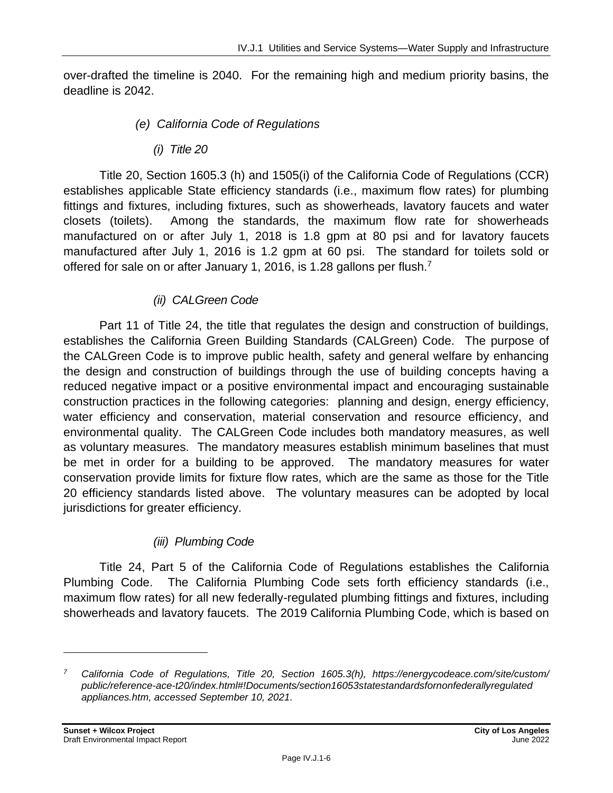over-drafted the timeline is 2040. For the remaining high and medium priority basins, the deadline is 2042.

- *(e) California Code of Regulations*
	- *(i) Title 20*

Title 20, Section 1605.3 (h) and 1505(i) of the California Code of Regulations (CCR) establishes applicable State efficiency standards (i.e., maximum flow rates) for plumbing fittings and fixtures, including fixtures, such as showerheads, lavatory faucets and water closets (toilets). Among the standards, the maximum flow rate for showerheads manufactured on or after July 1, 2018 is 1.8 gpm at 80 psi and for lavatory faucets manufactured after July 1, 2016 is 1.2 gpm at 60 psi. The standard for toilets sold or offered for sale on or after January 1, 2016, is 1.28 gallons per flush.<sup>7</sup>

#### *(ii) CALGreen Code*

Part 11 of Title 24, the title that regulates the design and construction of buildings, establishes the California Green Building Standards (CALGreen) Code. The purpose of the CALGreen Code is to improve public health, safety and general welfare by enhancing the design and construction of buildings through the use of building concepts having a reduced negative impact or a positive environmental impact and encouraging sustainable construction practices in the following categories: planning and design, energy efficiency, water efficiency and conservation, material conservation and resource efficiency, and environmental quality. The CALGreen Code includes both mandatory measures, as well as voluntary measures. The mandatory measures establish minimum baselines that must be met in order for a building to be approved. The mandatory measures for water conservation provide limits for fixture flow rates, which are the same as those for the Title 20 efficiency standards listed above. The voluntary measures can be adopted by local jurisdictions for greater efficiency.

#### *(iii) Plumbing Code*

Title 24, Part 5 of the California Code of Regulations establishes the California Plumbing Code. The California Plumbing Code sets forth efficiency standards (i.e., maximum flow rates) for all new federally-regulated plumbing fittings and fixtures, including showerheads and lavatory faucets. The 2019 California Plumbing Code, which is based on

*<sup>7</sup> California Code of Regulations, Title 20, Section 1605.3(h), https://energycodeace.com/site/custom/ public/reference-ace-t20/index.html#!Documents/section16053statestandardsfornonfederallyregulated appliances.htm, accessed September 10, 2021.*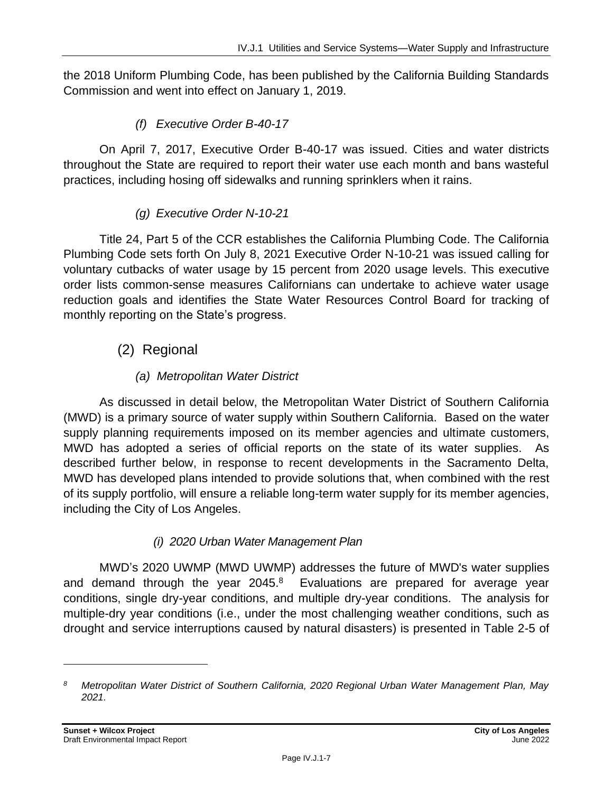the 2018 Uniform Plumbing Code, has been published by the California Building Standards Commission and went into effect on January 1, 2019.

#### *(f) Executive Order B-40-17*

On April 7, 2017, Executive Order B-40-17 was issued. Cities and water districts throughout the State are required to report their water use each month and bans wasteful practices, including hosing off sidewalks and running sprinklers when it rains.

#### *(g) Executive Order N-10-21*

Title 24, Part 5 of the CCR establishes the California Plumbing Code. The California Plumbing Code sets forth On July 8, 2021 Executive Order N-10-21 was issued calling for voluntary cutbacks of water usage by 15 percent from 2020 usage levels. This executive order lists common-sense measures Californians can undertake to achieve water usage reduction goals and identifies the State Water Resources Control Board for tracking of monthly reporting on the State's progress.

### (2) Regional

#### *(a) Metropolitan Water District*

As discussed in detail below, the Metropolitan Water District of Southern California (MWD) is a primary source of water supply within Southern California. Based on the water supply planning requirements imposed on its member agencies and ultimate customers, MWD has adopted a series of official reports on the state of its water supplies. As described further below, in response to recent developments in the Sacramento Delta, MWD has developed plans intended to provide solutions that, when combined with the rest of its supply portfolio, will ensure a reliable long-term water supply for its member agencies, including the City of Los Angeles.

#### *(i) 2020 Urban Water Management Plan*

MWD's 2020 UWMP (MWD UWMP) addresses the future of MWD's water supplies and demand through the year  $2045.<sup>8</sup>$  Evaluations are prepared for average year conditions, single dry-year conditions, and multiple dry-year conditions. The analysis for multiple-dry year conditions (i.e., under the most challenging weather conditions, such as drought and service interruptions caused by natural disasters) is presented in Table 2-5 of

*<sup>8</sup> Metropolitan Water District of Southern California, 2020 Regional Urban Water Management Plan, May 2021.*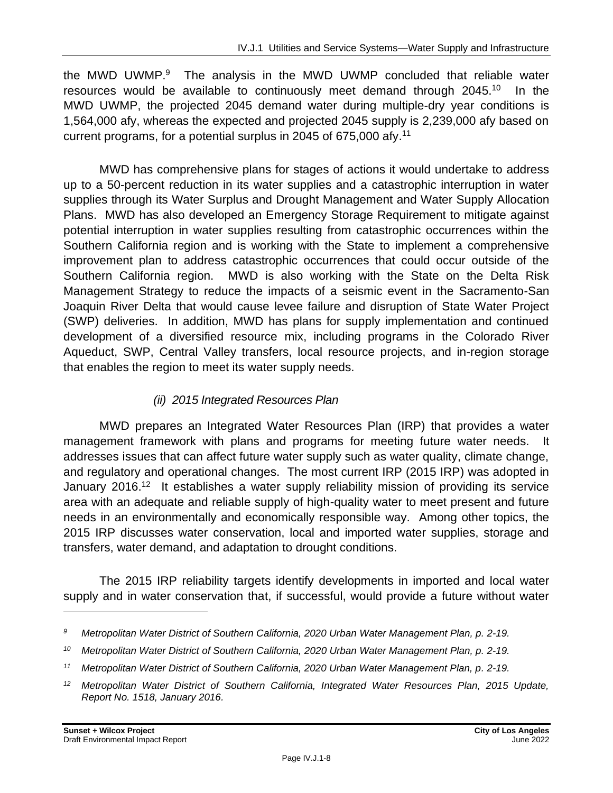the MWD UWMP.<sup>9</sup> The analysis in the MWD UWMP concluded that reliable water resources would be available to continuously meet demand through 2045.<sup>10</sup> In the MWD UWMP, the projected 2045 demand water during multiple-dry year conditions is 1,564,000 afy, whereas the expected and projected 2045 supply is 2,239,000 afy based on current programs, for a potential surplus in 2045 of 675,000 afy.<sup>11</sup>

MWD has comprehensive plans for stages of actions it would undertake to address up to a 50-percent reduction in its water supplies and a catastrophic interruption in water supplies through its Water Surplus and Drought Management and Water Supply Allocation Plans. MWD has also developed an Emergency Storage Requirement to mitigate against potential interruption in water supplies resulting from catastrophic occurrences within the Southern California region and is working with the State to implement a comprehensive improvement plan to address catastrophic occurrences that could occur outside of the Southern California region. MWD is also working with the State on the Delta Risk Management Strategy to reduce the impacts of a seismic event in the Sacramento-San Joaquin River Delta that would cause levee failure and disruption of State Water Project (SWP) deliveries. In addition, MWD has plans for supply implementation and continued development of a diversified resource mix, including programs in the Colorado River Aqueduct, SWP, Central Valley transfers, local resource projects, and in-region storage that enables the region to meet its water supply needs.

#### *(ii) 2015 Integrated Resources Plan*

MWD prepares an Integrated Water Resources Plan (IRP) that provides a water management framework with plans and programs for meeting future water needs. It addresses issues that can affect future water supply such as water quality, climate change, and regulatory and operational changes. The most current IRP (2015 IRP) was adopted in January 2016.<sup>12</sup> It establishes a water supply reliability mission of providing its service area with an adequate and reliable supply of high-quality water to meet present and future needs in an environmentally and economically responsible way. Among other topics, the 2015 IRP discusses water conservation, local and imported water supplies, storage and transfers, water demand, and adaptation to drought conditions.

The 2015 IRP reliability targets identify developments in imported and local water supply and in water conservation that, if successful, would provide a future without water

*<sup>9</sup> Metropolitan Water District of Southern California, 2020 Urban Water Management Plan, p. 2-19.*

*<sup>10</sup> Metropolitan Water District of Southern California, 2020 Urban Water Management Plan, p. 2-19.*

*<sup>11</sup> Metropolitan Water District of Southern California, 2020 Urban Water Management Plan, p. 2-19.*

<sup>&</sup>lt;sup>12</sup> Metropolitan Water District of Southern California, Integrated Water Resources Plan, 2015 Update, *Report No. 1518, January 2016.*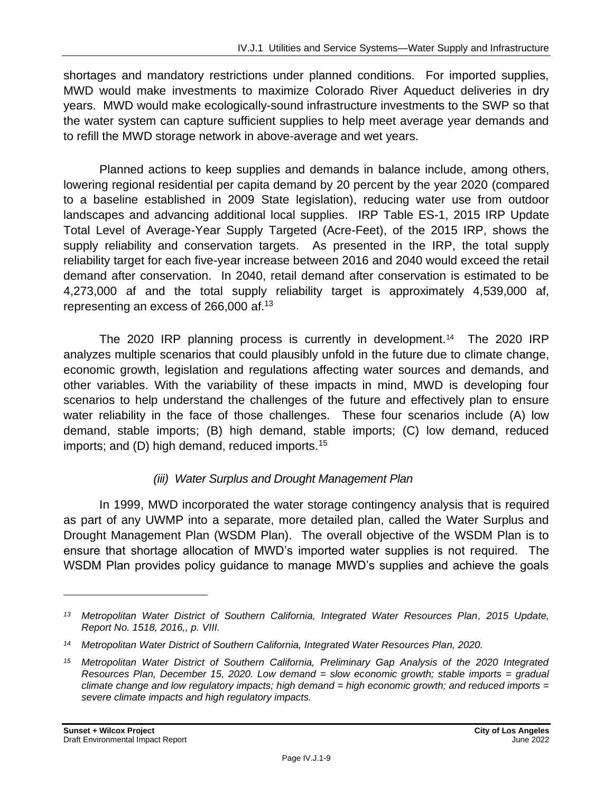shortages and mandatory restrictions under planned conditions. For imported supplies, MWD would make investments to maximize Colorado River Aqueduct deliveries in dry years. MWD would make ecologically-sound infrastructure investments to the SWP so that the water system can capture sufficient supplies to help meet average year demands and to refill the MWD storage network in above-average and wet years.

Planned actions to keep supplies and demands in balance include, among others, lowering regional residential per capita demand by 20 percent by the year 2020 (compared to a baseline established in 2009 State legislation), reducing water use from outdoor landscapes and advancing additional local supplies. IRP Table ES-1, 2015 IRP Update Total Level of Average-Year Supply Targeted (Acre-Feet), of the 2015 IRP, shows the supply reliability and conservation targets. As presented in the IRP, the total supply reliability target for each five-year increase between 2016 and 2040 would exceed the retail demand after conservation. In 2040, retail demand after conservation is estimated to be 4,273,000 af and the total supply reliability target is approximately 4,539,000 af, representing an excess of 266,000 af.<sup>13</sup>

The 2020 IRP planning process is currently in development.<sup>14</sup> The 2020 IRP analyzes multiple scenarios that could plausibly unfold in the future due to climate change, economic growth, legislation and regulations affecting water sources and demands, and other variables. With the variability of these impacts in mind, MWD is developing four scenarios to help understand the challenges of the future and effectively plan to ensure water reliability in the face of those challenges. These four scenarios include (A) low demand, stable imports; (B) high demand, stable imports; (C) low demand, reduced imports; and (D) high demand, reduced imports.<sup>15</sup>

#### *(iii) Water Surplus and Drought Management Plan*

In 1999, MWD incorporated the water storage contingency analysis that is required as part of any UWMP into a separate, more detailed plan, called the Water Surplus and Drought Management Plan (WSDM Plan). The overall objective of the WSDM Plan is to ensure that shortage allocation of MWD's imported water supplies is not required. The WSDM Plan provides policy guidance to manage MWD's supplies and achieve the goals

*<sup>13</sup> Metropolitan Water District of Southern California, Integrated Water Resources Plan, 2015 Update, Report No. 1518, 2016,, p. VIII.*

*<sup>14</sup> Metropolitan Water District of Southern California, Integrated Water Resources Plan, 2020.*

*<sup>15</sup> Metropolitan Water District of Southern California, Preliminary Gap Analysis of the 2020 Integrated Resources Plan, December 15, 2020. Low demand = slow economic growth; stable imports = gradual climate change and low regulatory impacts; high demand = high economic growth; and reduced imports = severe climate impacts and high regulatory impacts.*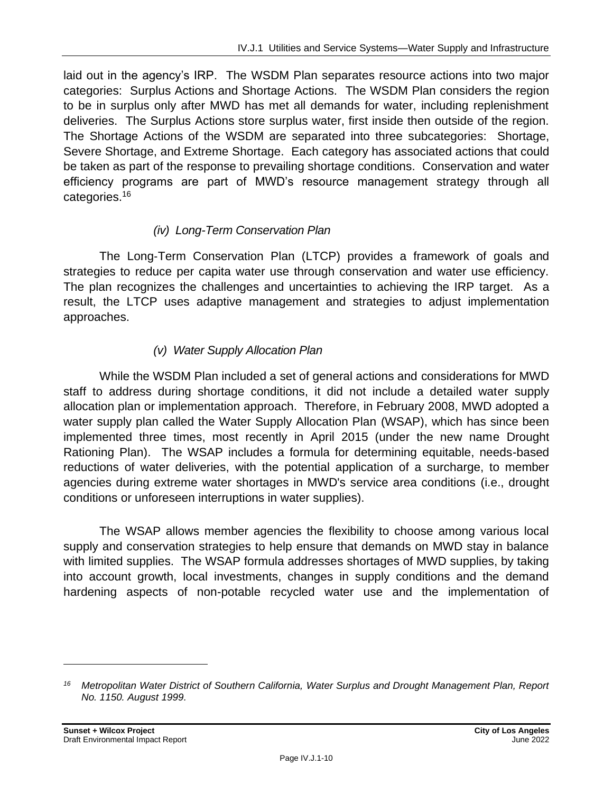laid out in the agency's IRP. The WSDM Plan separates resource actions into two major categories: Surplus Actions and Shortage Actions. The WSDM Plan considers the region to be in surplus only after MWD has met all demands for water, including replenishment deliveries. The Surplus Actions store surplus water, first inside then outside of the region. The Shortage Actions of the WSDM are separated into three subcategories: Shortage, Severe Shortage, and Extreme Shortage. Each category has associated actions that could be taken as part of the response to prevailing shortage conditions. Conservation and water efficiency programs are part of MWD's resource management strategy through all categories.<sup>16</sup>

#### *(iv) Long-Term Conservation Plan*

The Long‐Term Conservation Plan (LTCP) provides a framework of goals and strategies to reduce per capita water use through conservation and water use efficiency. The plan recognizes the challenges and uncertainties to achieving the IRP target. As a result, the LTCP uses adaptive management and strategies to adjust implementation approaches.

#### *(v) Water Supply Allocation Plan*

While the WSDM Plan included a set of general actions and considerations for MWD staff to address during shortage conditions, it did not include a detailed water supply allocation plan or implementation approach. Therefore, in February 2008, MWD adopted a water supply plan called the Water Supply Allocation Plan (WSAP), which has since been implemented three times, most recently in April 2015 (under the new name Drought Rationing Plan). The WSAP includes a formula for determining equitable, needs-based reductions of water deliveries, with the potential application of a surcharge, to member agencies during extreme water shortages in MWD's service area conditions (i.e., drought conditions or unforeseen interruptions in water supplies).

The WSAP allows member agencies the flexibility to choose among various local supply and conservation strategies to help ensure that demands on MWD stay in balance with limited supplies. The WSAP formula addresses shortages of MWD supplies, by taking into account growth, local investments, changes in supply conditions and the demand hardening aspects of non-potable recycled water use and the implementation of

*<sup>16</sup> Metropolitan Water District of Southern California, Water Surplus and Drought Management Plan, Report No. 1150. August 1999.*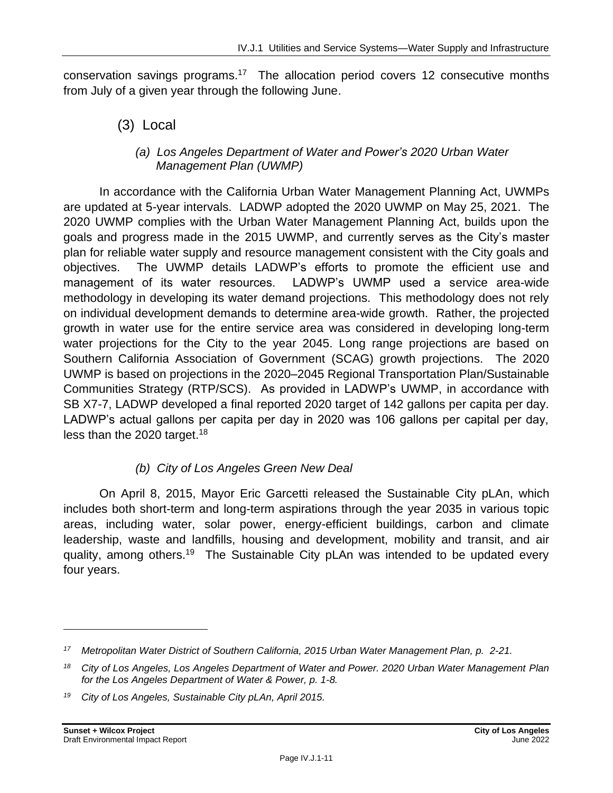conservation savings programs.<sup>17</sup> The allocation period covers 12 consecutive months from July of a given year through the following June.

(3) Local

#### *(a) Los Angeles Department of Water and Power's 2020 Urban Water Management Plan (UWMP)*

In accordance with the California Urban Water Management Planning Act, UWMPs are updated at 5-year intervals. LADWP adopted the 2020 UWMP on May 25, 2021. The 2020 UWMP complies with the Urban Water Management Planning Act, builds upon the goals and progress made in the 2015 UWMP, and currently serves as the City's master plan for reliable water supply and resource management consistent with the City goals and objectives. The UWMP details LADWP's efforts to promote the efficient use and management of its water resources. LADWP's UWMP used a service area-wide methodology in developing its water demand projections. This methodology does not rely on individual development demands to determine area-wide growth. Rather, the projected growth in water use for the entire service area was considered in developing long-term water projections for the City to the year 2045. Long range projections are based on Southern California Association of Government (SCAG) growth projections. The 2020 UWMP is based on projections in the 2020–2045 Regional Transportation Plan/Sustainable Communities Strategy (RTP/SCS). As provided in LADWP's UWMP, in accordance with SB X7-7, LADWP developed a final reported 2020 target of 142 gallons per capita per day. LADWP's actual gallons per capita per day in 2020 was 106 gallons per capital per day, less than the 2020 target.<sup>18</sup>

#### *(b) City of Los Angeles Green New Deal*

On April 8, 2015, Mayor Eric Garcetti released the Sustainable City pLAn, which includes both short-term and long-term aspirations through the year 2035 in various topic areas, including water, solar power, energy-efficient buildings, carbon and climate leadership, waste and landfills, housing and development, mobility and transit, and air quality, among others.<sup>19</sup> The Sustainable City pLAn was intended to be updated every four years.

*<sup>17</sup> Metropolitan Water District of Southern California, 2015 Urban Water Management Plan, p. 2-21.*

*<sup>18</sup> City of Los Angeles, Los Angeles Department of Water and Power. 2020 Urban Water Management Plan for the Los Angeles Department of Water & Power, p. 1-8.*

*<sup>19</sup> City of Los Angeles, Sustainable City pLAn, April 2015.*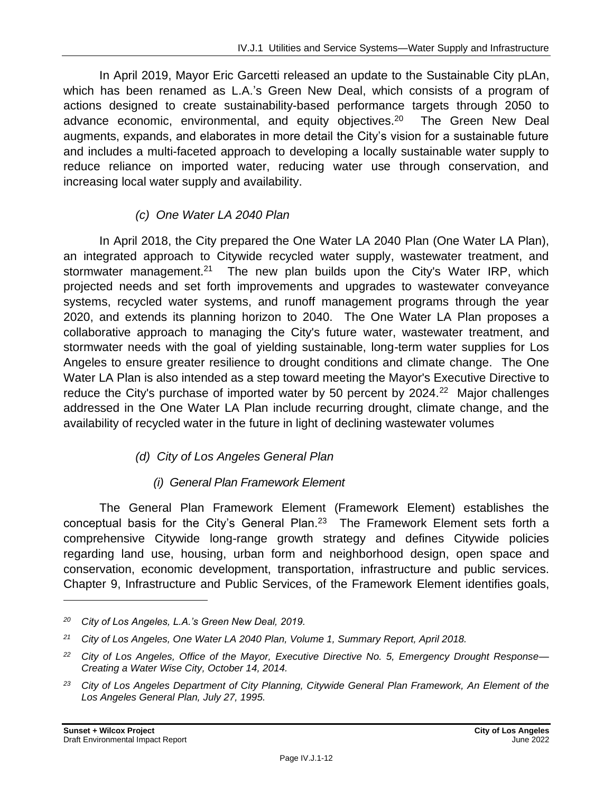In April 2019, Mayor Eric Garcetti released an update to the Sustainable City pLAn, which has been renamed as L.A.'s Green New Deal, which consists of a program of actions designed to create sustainability-based performance targets through 2050 to advance economic, environmental, and equity objectives.<sup>20</sup> The Green New Deal augments, expands, and elaborates in more detail the City's vision for a sustainable future and includes a multi-faceted approach to developing a locally sustainable water supply to reduce reliance on imported water, reducing water use through conservation, and increasing local water supply and availability.

#### *(c) One Water LA 2040 Plan*

In April 2018, the City prepared the One Water LA 2040 Plan (One Water LA Plan), an integrated approach to Citywide recycled water supply, wastewater treatment, and stormwater management.<sup>21</sup> The new plan builds upon the City's Water IRP, which projected needs and set forth improvements and upgrades to wastewater conveyance systems, recycled water systems, and runoff management programs through the year 2020, and extends its planning horizon to 2040. The One Water LA Plan proposes a collaborative approach to managing the City's future water, wastewater treatment, and stormwater needs with the goal of yielding sustainable, long-term water supplies for Los Angeles to ensure greater resilience to drought conditions and climate change. The One Water LA Plan is also intended as a step toward meeting the Mayor's Executive Directive to reduce the City's purchase of imported water by 50 percent by 2024.<sup>22</sup> Major challenges addressed in the One Water LA Plan include recurring drought, climate change, and the availability of recycled water in the future in light of declining wastewater volumes

#### *(d) City of Los Angeles General Plan*

#### *(i) General Plan Framework Element*

The General Plan Framework Element (Framework Element) establishes the conceptual basis for the City's General Plan.<sup>23</sup> The Framework Element sets forth a comprehensive Citywide long-range growth strategy and defines Citywide policies regarding land use, housing, urban form and neighborhood design, open space and conservation, economic development, transportation, infrastructure and public services. Chapter 9, Infrastructure and Public Services, of the Framework Element identifies goals,

*<sup>20</sup> City of Los Angeles, L.A.'s Green New Deal, 2019.*

*<sup>21</sup> City of Los Angeles, One Water LA 2040 Plan, Volume 1, Summary Report, April 2018.*

*<sup>22</sup> City of Los Angeles, Office of the Mayor, Executive Directive No. 5, Emergency Drought Response— Creating a Water Wise City, October 14, 2014.*

*<sup>23</sup> City of Los Angeles Department of City Planning, Citywide General Plan Framework, An Element of the Los Angeles General Plan, July 27, 1995.*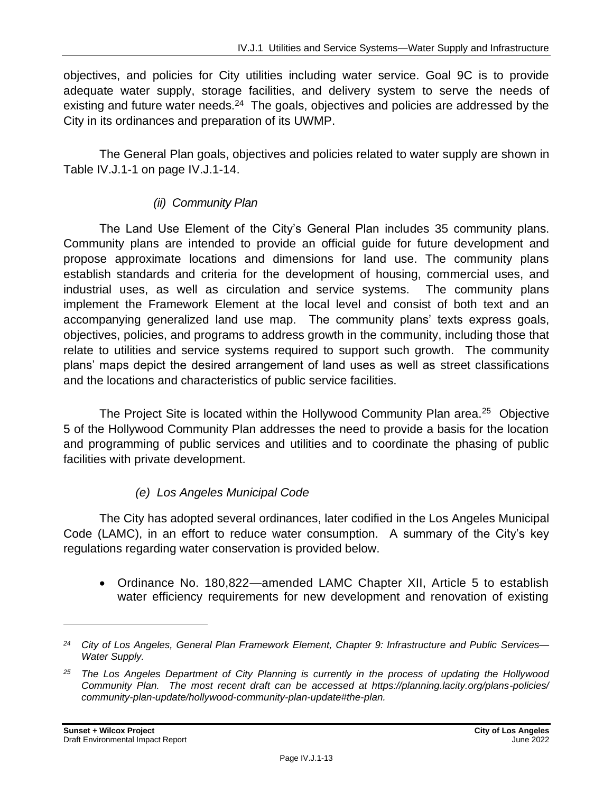objectives, and policies for City utilities including water service. Goal 9C is to provide adequate water supply, storage facilities, and delivery system to serve the needs of existing and future water needs.<sup>24</sup> The goals, objectives and policies are addressed by the City in its ordinances and preparation of its UWMP.

The General Plan goals, objectives and policies related to water supply are shown in Table IV.J.1-1 on page IV.J.1-14.

#### *(ii) Community Plan*

The Land Use Element of the City's General Plan includes 35 community plans. Community plans are intended to provide an official guide for future development and propose approximate locations and dimensions for land use. The community plans establish standards and criteria for the development of housing, commercial uses, and industrial uses, as well as circulation and service systems. The community plans implement the Framework Element at the local level and consist of both text and an accompanying generalized land use map. The community plans' texts express goals, objectives, policies, and programs to address growth in the community, including those that relate to utilities and service systems required to support such growth. The community plans' maps depict the desired arrangement of land uses as well as street classifications and the locations and characteristics of public service facilities.

The Project Site is located within the Hollywood Community Plan area.<sup>25</sup> Objective 5 of the Hollywood Community Plan addresses the need to provide a basis for the location and programming of public services and utilities and to coordinate the phasing of public facilities with private development.

#### *(e) Los Angeles Municipal Code*

The City has adopted several ordinances, later codified in the Los Angeles Municipal Code (LAMC), in an effort to reduce water consumption. A summary of the City's key regulations regarding water conservation is provided below.

• Ordinance No. 180,822—amended LAMC Chapter XII, Article 5 to establish water efficiency requirements for new development and renovation of existing

*<sup>24</sup> City of Los Angeles, General Plan Framework Element, Chapter 9: Infrastructure and Public Services— Water Supply.*

*<sup>25</sup> The Los Angeles Department of City Planning is currently in the process of updating the Hollywood Community Plan. The most recent draft can be accessed at https://planning.lacity.org/plans-policies/ community-plan-update/hollywood-community-plan-update#the-plan.*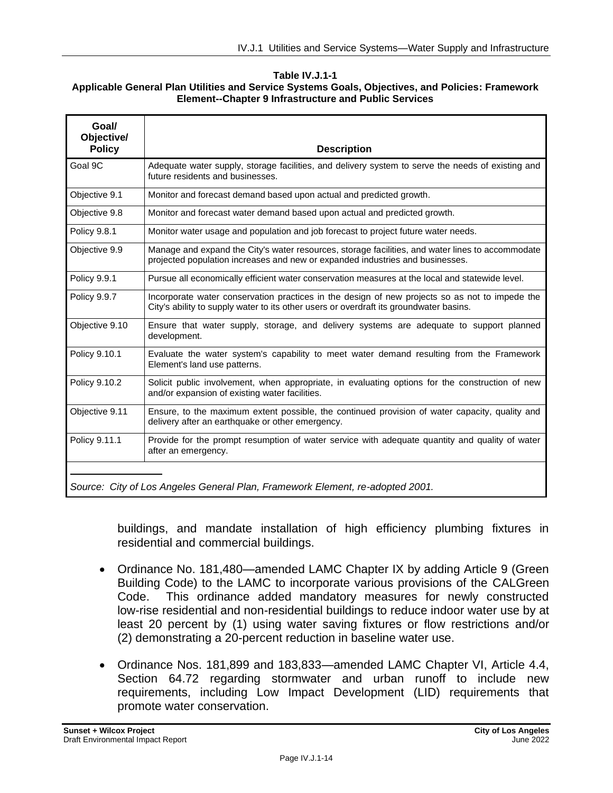#### **Table IV.J.1-1 Applicable General Plan Utilities and Service Systems Goals, Objectives, and Policies: Framework Element--Chapter 9 Infrastructure and Public Services**

| Goal/<br>Objective/<br><b>Policy</b> | <b>Description</b>                                                                                                                                                                       |
|--------------------------------------|------------------------------------------------------------------------------------------------------------------------------------------------------------------------------------------|
| Goal 9C                              | Adequate water supply, storage facilities, and delivery system to serve the needs of existing and<br>future residents and businesses.                                                    |
| Objective 9.1                        | Monitor and forecast demand based upon actual and predicted growth.                                                                                                                      |
| Objective 9.8                        | Monitor and forecast water demand based upon actual and predicted growth.                                                                                                                |
| <b>Policy 9.8.1</b>                  | Monitor water usage and population and job forecast to project future water needs.                                                                                                       |
| Objective 9.9                        | Manage and expand the City's water resources, storage facilities, and water lines to accommodate<br>projected population increases and new or expanded industries and businesses.        |
| Policy 9.9.1                         | Pursue all economically efficient water conservation measures at the local and statewide level.                                                                                          |
| Policy 9.9.7                         | Incorporate water conservation practices in the design of new projects so as not to impede the<br>City's ability to supply water to its other users or overdraft its groundwater basins. |
| Objective 9.10                       | Ensure that water supply, storage, and delivery systems are adequate to support planned<br>development.                                                                                  |
| Policy 9.10.1                        | Evaluate the water system's capability to meet water demand resulting from the Framework<br>Element's land use patterns.                                                                 |
| Policy 9.10.2                        | Solicit public involvement, when appropriate, in evaluating options for the construction of new<br>and/or expansion of existing water facilities.                                        |
| Objective 9.11                       | Ensure, to the maximum extent possible, the continued provision of water capacity, quality and<br>delivery after an earthquake or other emergency.                                       |
| Policy 9.11.1                        | Provide for the prompt resumption of water service with adequate quantity and quality of water<br>after an emergency.                                                                    |
|                                      | Source: City of Los Angeles General Plan, Framework Element, re-adopted 2001.                                                                                                            |

buildings, and mandate installation of high efficiency plumbing fixtures in residential and commercial buildings.

- Ordinance No. 181,480—amended LAMC Chapter IX by adding Article 9 (Green Building Code) to the LAMC to incorporate various provisions of the CALGreen Code. This ordinance added mandatory measures for newly constructed low-rise residential and non-residential buildings to reduce indoor water use by at least 20 percent by (1) using water saving fixtures or flow restrictions and/or (2) demonstrating a 20-percent reduction in baseline water use.
- Ordinance Nos. 181,899 and 183,833—amended LAMC Chapter VI, Article 4.4, Section 64.72 regarding stormwater and urban runoff to include new requirements, including Low Impact Development (LID) requirements that promote water conservation.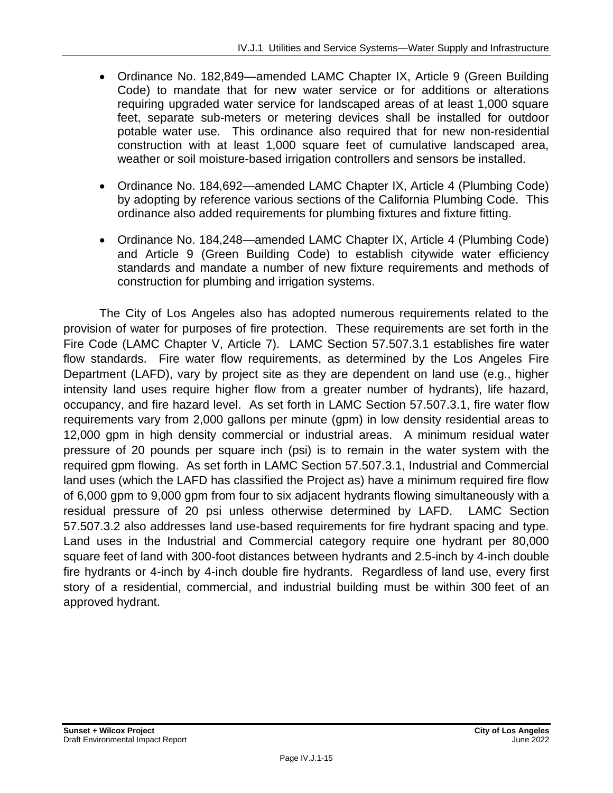- Ordinance No. 182,849—amended LAMC Chapter IX, Article 9 (Green Building Code) to mandate that for new water service or for additions or alterations requiring upgraded water service for landscaped areas of at least 1,000 square feet, separate sub-meters or metering devices shall be installed for outdoor potable water use. This ordinance also required that for new non-residential construction with at least 1,000 square feet of cumulative landscaped area, weather or soil moisture-based irrigation controllers and sensors be installed.
- Ordinance No. 184,692—amended LAMC Chapter IX, Article 4 (Plumbing Code) by adopting by reference various sections of the California Plumbing Code. This ordinance also added requirements for plumbing fixtures and fixture fitting.
- Ordinance No. 184,248—amended LAMC Chapter IX, Article 4 (Plumbing Code) and Article 9 (Green Building Code) to establish citywide water efficiency standards and mandate a number of new fixture requirements and methods of construction for plumbing and irrigation systems.

The City of Los Angeles also has adopted numerous requirements related to the provision of water for purposes of fire protection. These requirements are set forth in the Fire Code (LAMC Chapter V, Article 7). LAMC Section 57.507.3.1 establishes fire water flow standards. Fire water flow requirements, as determined by the Los Angeles Fire Department (LAFD), vary by project site as they are dependent on land use (e.g., higher intensity land uses require higher flow from a greater number of hydrants), life hazard, occupancy, and fire hazard level. As set forth in LAMC Section 57.507.3.1, fire water flow requirements vary from 2,000 gallons per minute (gpm) in low density residential areas to 12,000 gpm in high density commercial or industrial areas. A minimum residual water pressure of 20 pounds per square inch (psi) is to remain in the water system with the required gpm flowing. As set forth in LAMC Section 57.507.3.1, Industrial and Commercial land uses (which the LAFD has classified the Project as) have a minimum required fire flow of 6,000 gpm to 9,000 gpm from four to six adjacent hydrants flowing simultaneously with a residual pressure of 20 psi unless otherwise determined by LAFD. LAMC Section 57.507.3.2 also addresses land use-based requirements for fire hydrant spacing and type. Land uses in the Industrial and Commercial category require one hydrant per 80,000 square feet of land with 300-foot distances between hydrants and 2.5-inch by 4-inch double fire hydrants or 4-inch by 4-inch double fire hydrants. Regardless of land use, every first story of a residential, commercial, and industrial building must be within 300 feet of an approved hydrant.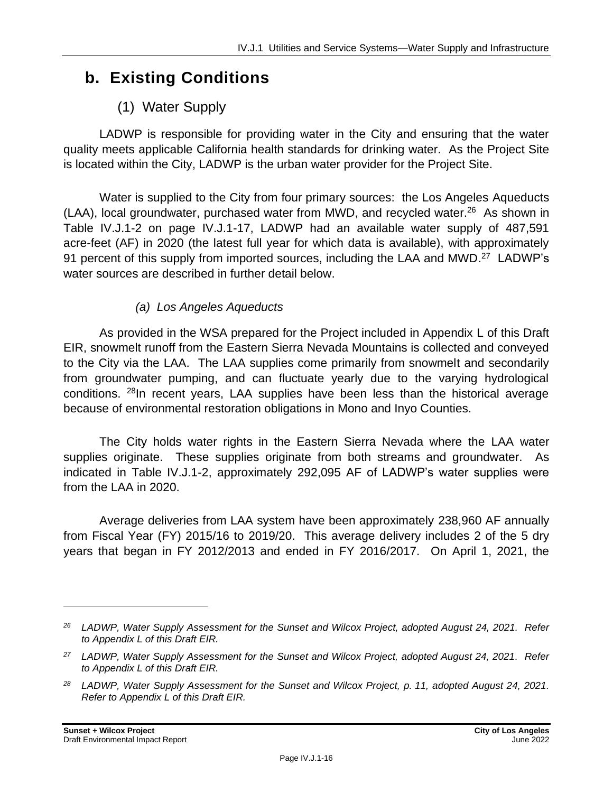# **b. Existing Conditions**

## (1) Water Supply

LADWP is responsible for providing water in the City and ensuring that the water quality meets applicable California health standards for drinking water. As the Project Site is located within the City, LADWP is the urban water provider for the Project Site.

Water is supplied to the City from four primary sources: the Los Angeles Aqueducts (LAA), local groundwater, purchased water from MWD, and recycled water.<sup>26</sup> As shown in Table IV.J.1-2 on page IV.J.1-17, LADWP had an available water supply of 487,591 acre-feet (AF) in 2020 (the latest full year for which data is available), with approximately 91 percent of this supply from imported sources, including the LAA and MWD.<sup>27</sup> LADWP's water sources are described in further detail below.

#### *(a) Los Angeles Aqueducts*

As provided in the WSA prepared for the Project included in Appendix L of this Draft EIR, snowmelt runoff from the Eastern Sierra Nevada Mountains is collected and conveyed to the City via the LAA. The LAA supplies come primarily from snowmelt and secondarily from groundwater pumping, and can fluctuate yearly due to the varying hydrological conditions. <sup>28</sup>In recent years, LAA supplies have been less than the historical average because of environmental restoration obligations in Mono and Inyo Counties.

The City holds water rights in the Eastern Sierra Nevada where the LAA water supplies originate. These supplies originate from both streams and groundwater. As indicated in Table IV.J.1-2, approximately 292,095 AF of LADWP's water supplies were from the LAA in 2020.

Average deliveries from LAA system have been approximately 238,960 AF annually from Fiscal Year (FY) 2015/16 to 2019/20. This average delivery includes 2 of the 5 dry years that began in FY 2012/2013 and ended in FY 2016/2017. On April 1, 2021, the

*<sup>26</sup> LADWP, Water Supply Assessment for the Sunset and Wilcox Project, adopted August 24, 2021. Refer to Appendix L of this Draft EIR.*

*<sup>27</sup> LADWP, Water Supply Assessment for the Sunset and Wilcox Project, adopted August 24, 2021. Refer to Appendix L of this Draft EIR.*

*<sup>28</sup> LADWP, Water Supply Assessment for the Sunset and Wilcox Project, p. 11, adopted August 24, 2021. Refer to Appendix L of this Draft EIR.*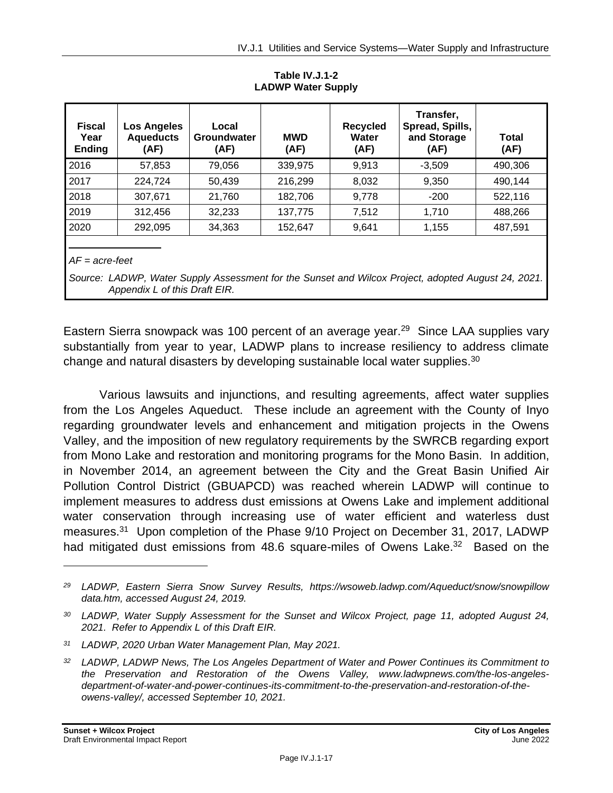| <b>Fiscal</b><br>Year<br><b>Ending</b> | Los Angeles<br><b>Aqueducts</b><br>(AF) | Local<br>Groundwater<br>(AF) | <b>MWD</b><br>(AF) | <b>Recycled</b><br><b>Water</b><br>(AF) | Transfer,<br>Spread, Spills,<br>and Storage<br>(AF) | Total<br>(AF) |
|----------------------------------------|-----------------------------------------|------------------------------|--------------------|-----------------------------------------|-----------------------------------------------------|---------------|
| 2016                                   | 57,853                                  | 79,056                       | 339,975            | 9,913                                   | $-3,509$                                            | 490,306       |
| 2017                                   | 224,724                                 | 50,439                       | 216,299            | 8,032                                   | 9,350                                               | 490,144       |
| 2018                                   | 307,671                                 | 21,760                       | 182,706            | 9,778                                   | $-200$                                              | 522,116       |
| 2019                                   | 312,456                                 | 32,233                       | 137,775            | 7,512                                   | 1,710                                               | 488,266       |
| 2020                                   | 292,095                                 | 34,363                       | 152,647            | 9,641                                   | 1,155                                               | 487,591       |
|                                        |                                         |                              |                    |                                         |                                                     |               |

**Table IV.J.1-2 LADWP Water Supply**

*AF = acre-feet*

*Source: LADWP, Water Supply Assessment for the Sunset and Wilcox Project, adopted August 24, 2021. Appendix L of this Draft EIR.*

Eastern Sierra snowpack was 100 percent of an average year.<sup>29</sup> Since LAA supplies vary substantially from year to year, LADWP plans to increase resiliency to address climate change and natural disasters by developing sustainable local water supplies. $30$ 

Various lawsuits and injunctions, and resulting agreements, affect water supplies from the Los Angeles Aqueduct. These include an agreement with the County of Inyo regarding groundwater levels and enhancement and mitigation projects in the Owens Valley, and the imposition of new regulatory requirements by the SWRCB regarding export from Mono Lake and restoration and monitoring programs for the Mono Basin. In addition, in November 2014, an agreement between the City and the Great Basin Unified Air Pollution Control District (GBUAPCD) was reached wherein LADWP will continue to implement measures to address dust emissions at Owens Lake and implement additional water conservation through increasing use of water efficient and waterless dust measures.<sup>31</sup> Upon completion of the Phase 9/10 Project on December 31, 2017, LADWP had mitigated dust emissions from 48.6 square-miles of Owens Lake.<sup>32</sup> Based on the

*<sup>29</sup> LADWP, Eastern Sierra Snow Survey Results, https://wsoweb.ladwp.com/Aqueduct/snow/snowpillow data.htm, accessed August 24, 2019.*

*<sup>30</sup> LADWP, Water Supply Assessment for the Sunset and Wilcox Project, page 11, adopted August 24, 2021. Refer to Appendix L of this Draft EIR.*

*<sup>31</sup> LADWP, 2020 Urban Water Management Plan, May 2021.*

*<sup>32</sup> LADWP, LADWP News, The Los Angeles Department of Water and Power Continues its Commitment to the Preservation and Restoration of the Owens Valley, www.ladwpnews.com/the-los-angelesdepartment-of-water-and-power-continues-its-commitment-to-the-preservation-and-restoration-of-theowens-valley/, accessed September 10, 2021.*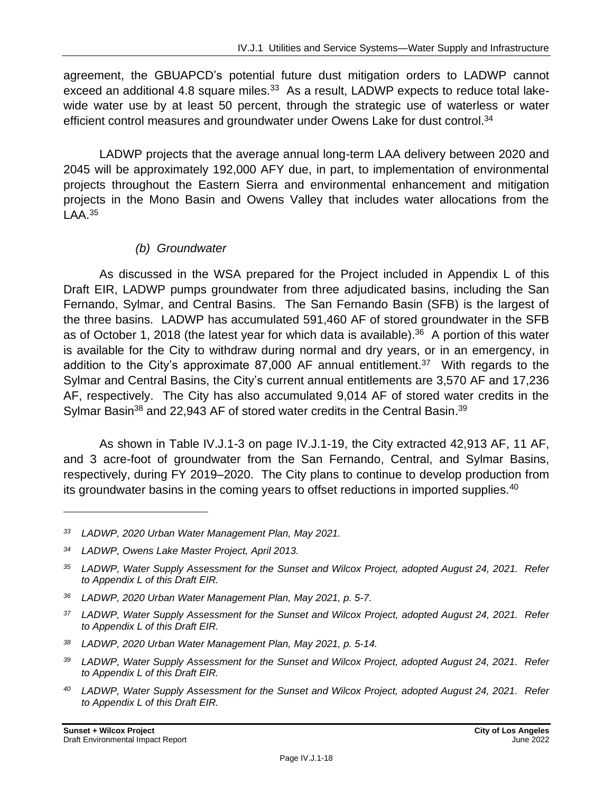agreement, the GBUAPCD's potential future dust mitigation orders to LADWP cannot exceed an additional 4.8 square miles.<sup>33</sup> As a result, LADWP expects to reduce total lakewide water use by at least 50 percent, through the strategic use of waterless or water efficient control measures and groundwater under Owens Lake for dust control.<sup>34</sup>

LADWP projects that the average annual long-term LAA delivery between 2020 and 2045 will be approximately 192,000 AFY due, in part, to implementation of environmental projects throughout the Eastern Sierra and environmental enhancement and mitigation projects in the Mono Basin and Owens Valley that includes water allocations from the  $LAA.<sup>35</sup>$ 

#### *(b) Groundwater*

As discussed in the WSA prepared for the Project included in Appendix L of this Draft EIR, LADWP pumps groundwater from three adjudicated basins, including the San Fernando, Sylmar, and Central Basins. The San Fernando Basin (SFB) is the largest of the three basins. LADWP has accumulated 591,460 AF of stored groundwater in the SFB as of October 1, 2018 (the latest year for which data is available).<sup>36</sup> A portion of this water is available for the City to withdraw during normal and dry years, or in an emergency, in addition to the City's approximate  $87,000$  AF annual entitlement.<sup>37</sup> With regards to the Sylmar and Central Basins, the City's current annual entitlements are 3,570 AF and 17,236 AF, respectively. The City has also accumulated 9,014 AF of stored water credits in the Sylmar Basin<sup>38</sup> and 22,943 AF of stored water credits in the Central Basin.<sup>39</sup>

As shown in Table IV.J.1-3 on page IV.J.1-19, the City extracted 42,913 AF, 11 AF, and 3 acre-foot of groundwater from the San Fernando, Central, and Sylmar Basins, respectively, during FY 2019–2020. The City plans to continue to develop production from its groundwater basins in the coming years to offset reductions in imported supplies.<sup>40</sup>

*<sup>33</sup> LADWP, 2020 Urban Water Management Plan, May 2021.*

*<sup>34</sup> LADWP, Owens Lake Master Project, April 2013.*

*<sup>35</sup> LADWP, Water Supply Assessment for the Sunset and Wilcox Project, adopted August 24, 2021. Refer to Appendix L of this Draft EIR.*

*<sup>36</sup> LADWP, 2020 Urban Water Management Plan, May 2021, p. 5-7.*

*<sup>37</sup> LADWP, Water Supply Assessment for the Sunset and Wilcox Project, adopted August 24, 2021. Refer to Appendix L of this Draft EIR.*

*<sup>38</sup> LADWP, 2020 Urban Water Management Plan, May 2021, p. 5-14.*

*<sup>39</sup> LADWP, Water Supply Assessment for the Sunset and Wilcox Project, adopted August 24, 2021. Refer to Appendix L of this Draft EIR.*

*<sup>40</sup> LADWP, Water Supply Assessment for the Sunset and Wilcox Project, adopted August 24, 2021. Refer to Appendix L of this Draft EIR.*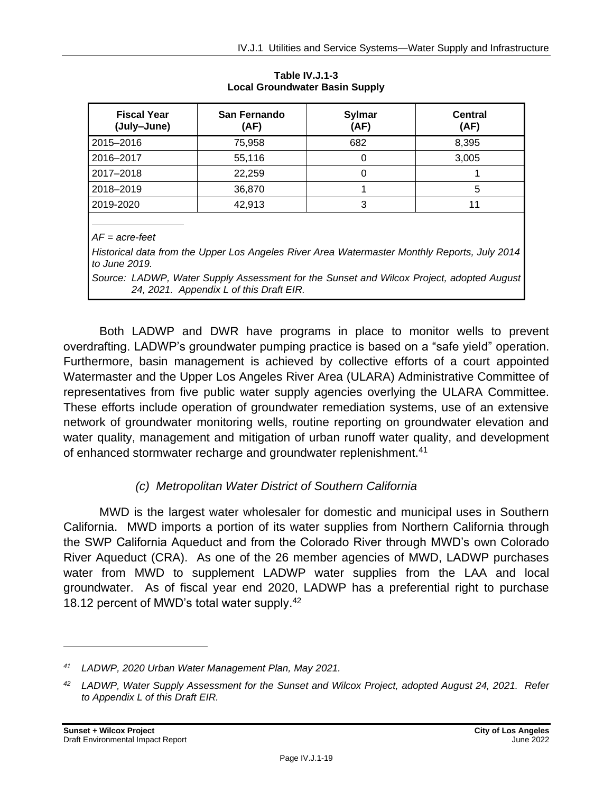| <b>Fiscal Year</b><br>(July-June) | <b>San Fernando</b><br>(AF) | <b>Sylmar</b><br>(AF) | <b>Central</b><br>(AF) |
|-----------------------------------|-----------------------------|-----------------------|------------------------|
| 2015-2016                         | 75,958                      | 682                   | 8,395                  |
| 2016-2017                         | 55,116                      | 0                     | 3,005                  |
| 2017-2018                         | 22,259                      | O                     |                        |
| 2018-2019                         | 36,870                      |                       | 5                      |
| 2019-2020                         | 42,913                      | 3                     | 11                     |
|                                   |                             |                       |                        |
| $AF = acre-free$                  |                             |                       |                        |

**Table IV.J.1-3 Local Groundwater Basin Supply**

*AF = acre-feet*

*Historical data from the Upper Los Angeles River Area Watermaster Monthly Reports, July 2014 to June 2019.*

*Source: LADWP, Water Supply Assessment for the Sunset and Wilcox Project, adopted August 24, 2021. Appendix L of this Draft EIR.*

Both LADWP and DWR have programs in place to monitor wells to prevent overdrafting. LADWP's groundwater pumping practice is based on a "safe yield" operation. Furthermore, basin management is achieved by collective efforts of a court appointed Watermaster and the Upper Los Angeles River Area (ULARA) Administrative Committee of representatives from five public water supply agencies overlying the ULARA Committee. These efforts include operation of groundwater remediation systems, use of an extensive network of groundwater monitoring wells, routine reporting on groundwater elevation and water quality, management and mitigation of urban runoff water quality, and development of enhanced stormwater recharge and groundwater replenishment.<sup>41</sup>

#### *(c) Metropolitan Water District of Southern California*

MWD is the largest water wholesaler for domestic and municipal uses in Southern California. MWD imports a portion of its water supplies from Northern California through the SWP California Aqueduct and from the Colorado River through MWD's own Colorado River Aqueduct (CRA). As one of the 26 member agencies of MWD, LADWP purchases water from MWD to supplement LADWP water supplies from the LAA and local groundwater. As of fiscal year end 2020, LADWP has a preferential right to purchase 18.12 percent of MWD's total water supply.<sup>42</sup>

*<sup>41</sup> LADWP, 2020 Urban Water Management Plan, May 2021.*

*<sup>42</sup> LADWP, Water Supply Assessment for the Sunset and Wilcox Project, adopted August 24, 2021. Refer to Appendix L of this Draft EIR.*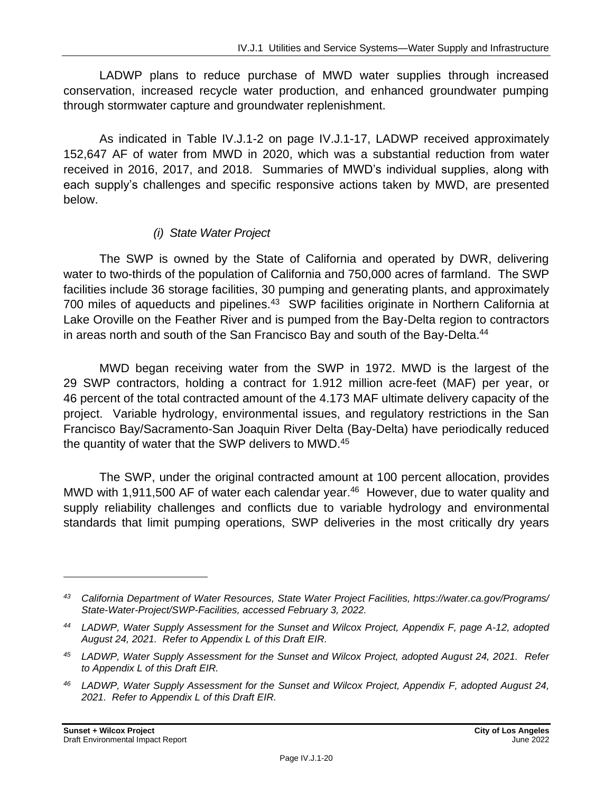LADWP plans to reduce purchase of MWD water supplies through increased conservation, increased recycle water production, and enhanced groundwater pumping through stormwater capture and groundwater replenishment.

As indicated in Table IV.J.1-2 on page IV.J.1-17, LADWP received approximately 152,647 AF of water from MWD in 2020, which was a substantial reduction from water received in 2016, 2017, and 2018. Summaries of MWD's individual supplies, along with each supply's challenges and specific responsive actions taken by MWD, are presented below.

#### *(i) State Water Project*

The SWP is owned by the State of California and operated by DWR, delivering water to two-thirds of the population of California and 750,000 acres of farmland. The SWP facilities include 36 storage facilities, 30 pumping and generating plants, and approximately 700 miles of aqueducts and pipelines.<sup>43</sup> SWP facilities originate in Northern California at Lake Oroville on the Feather River and is pumped from the Bay-Delta region to contractors in areas north and south of the San Francisco Bay and south of the Bay-Delta.<sup>44</sup>

MWD began receiving water from the SWP in 1972. MWD is the largest of the 29 SWP contractors, holding a contract for 1.912 million acre-feet (MAF) per year, or 46 percent of the total contracted amount of the 4.173 MAF ultimate delivery capacity of the project. Variable hydrology, environmental issues, and regulatory restrictions in the San Francisco Bay/Sacramento-San Joaquin River Delta (Bay-Delta) have periodically reduced the quantity of water that the SWP delivers to MWD.<sup>45</sup>

The SWP, under the original contracted amount at 100 percent allocation, provides MWD with 1,911,500 AF of water each calendar year.<sup>46</sup> However, due to water quality and supply reliability challenges and conflicts due to variable hydrology and environmental standards that limit pumping operations, SWP deliveries in the most critically dry years

*<sup>43</sup> California Department of Water Resources, State Water Project Facilities, https://water.ca.gov/Programs/ State-Water-Project/SWP-Facilities, accessed February 3, 2022.*

*<sup>44</sup> LADWP, Water Supply Assessment for the Sunset and Wilcox Project, Appendix F, page A-12, adopted August 24, 2021. Refer to Appendix L of this Draft EIR.*

*<sup>45</sup> LADWP, Water Supply Assessment for the Sunset and Wilcox Project, adopted August 24, 2021. Refer to Appendix L of this Draft EIR.*

*<sup>46</sup> LADWP, Water Supply Assessment for the Sunset and Wilcox Project, Appendix F, adopted August 24, 2021. Refer to Appendix L of this Draft EIR.*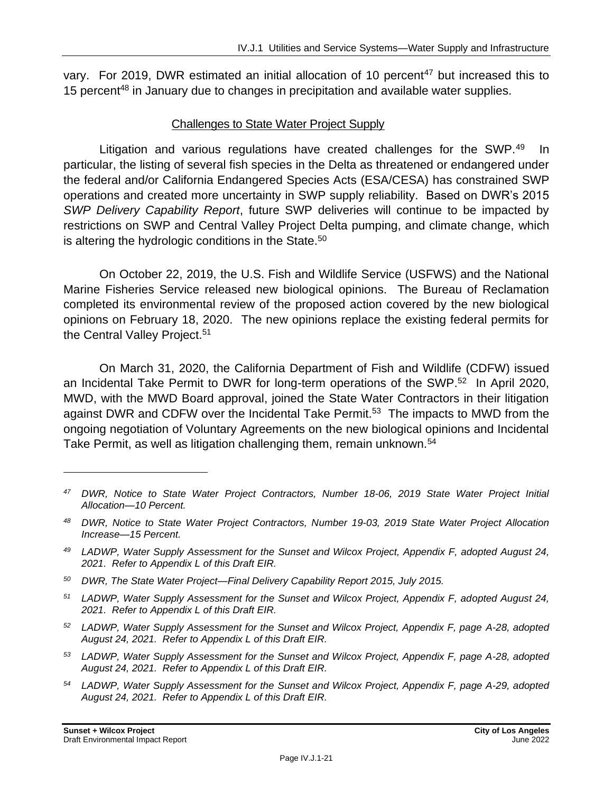vary. For 2019, DWR estimated an initial allocation of 10 percent<sup>47</sup> but increased this to 15 percent<sup>48</sup> in January due to changes in precipitation and available water supplies.

#### Challenges to State Water Project Supply

Litigation and various regulations have created challenges for the SWP.<sup>49</sup> In particular, the listing of several fish species in the Delta as threatened or endangered under the federal and/or California Endangered Species Acts (ESA/CESA) has constrained SWP operations and created more uncertainty in SWP supply reliability. Based on DWR's 2015 *SWP Delivery Capability Report*, future SWP deliveries will continue to be impacted by restrictions on SWP and Central Valley Project Delta pumping, and climate change, which is altering the hydrologic conditions in the State.<sup>50</sup>

On October 22, 2019, the U.S. Fish and Wildlife Service (USFWS) and the National Marine Fisheries Service released new biological opinions. The Bureau of Reclamation completed its environmental review of the proposed action covered by the new biological opinions on February 18, 2020. The new opinions replace the existing federal permits for the Central Valley Project.<sup>51</sup>

On March 31, 2020, the California Department of Fish and Wildlife (CDFW) issued an Incidental Take Permit to DWR for long-term operations of the SWP.<sup>52</sup> In April 2020, MWD, with the MWD Board approval, joined the State Water Contractors in their litigation against DWR and CDFW over the Incidental Take Permit.<sup>53</sup> The impacts to MWD from the ongoing negotiation of Voluntary Agreements on the new biological opinions and Incidental Take Permit, as well as litigation challenging them, remain unknown.<sup>54</sup>

- *<sup>50</sup> DWR, The State Water Project—Final Delivery Capability Report 2015, July 2015.*
- *<sup>51</sup> LADWP, Water Supply Assessment for the Sunset and Wilcox Project, Appendix F, adopted August 24, 2021. Refer to Appendix L of this Draft EIR.*
- *<sup>52</sup> LADWP, Water Supply Assessment for the Sunset and Wilcox Project, Appendix F, page A-28, adopted August 24, 2021. Refer to Appendix L of this Draft EIR.*
- *<sup>53</sup> LADWP, Water Supply Assessment for the Sunset and Wilcox Project, Appendix F, page A-28, adopted August 24, 2021. Refer to Appendix L of this Draft EIR.*
- *<sup>54</sup> LADWP, Water Supply Assessment for the Sunset and Wilcox Project, Appendix F, page A-29, adopted August 24, 2021. Refer to Appendix L of this Draft EIR.*

*<sup>47</sup> DWR, Notice to State Water Project Contractors, Number 18-06, 2019 State Water Project Initial Allocation—10 Percent.*

*<sup>48</sup> DWR, Notice to State Water Project Contractors, Number 19-03, 2019 State Water Project Allocation Increase—15 Percent.*

*<sup>49</sup> LADWP, Water Supply Assessment for the Sunset and Wilcox Project, Appendix F, adopted August 24, 2021. Refer to Appendix L of this Draft EIR.*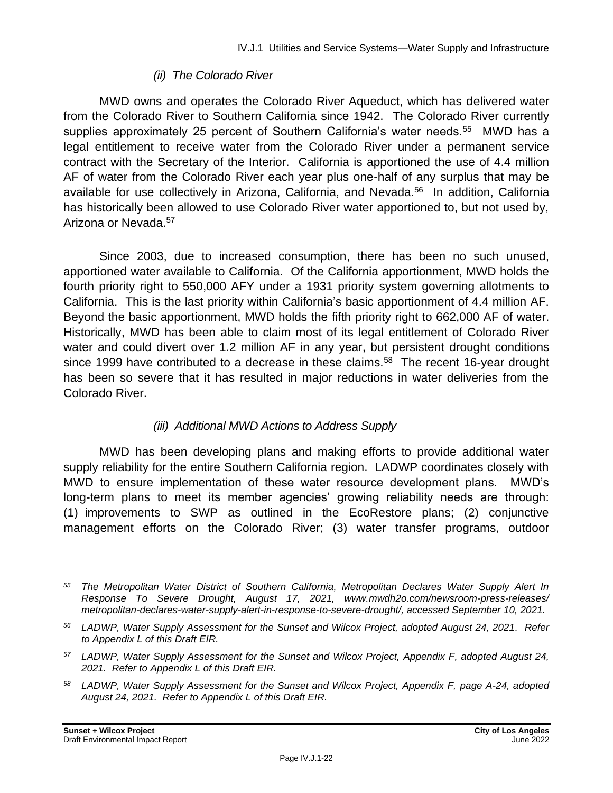#### *(ii) The Colorado River*

MWD owns and operates the Colorado River Aqueduct, which has delivered water from the Colorado River to Southern California since 1942. The Colorado River currently supplies approximately 25 percent of Southern California's water needs.<sup>55</sup> MWD has a legal entitlement to receive water from the Colorado River under a permanent service contract with the Secretary of the Interior. California is apportioned the use of 4.4 million AF of water from the Colorado River each year plus one-half of any surplus that may be available for use collectively in Arizona, California, and Nevada.<sup>56</sup> In addition, California has historically been allowed to use Colorado River water apportioned to, but not used by, Arizona or Nevada.<sup>57</sup>

Since 2003, due to increased consumption, there has been no such unused, apportioned water available to California. Of the California apportionment, MWD holds the fourth priority right to 550,000 AFY under a 1931 priority system governing allotments to California. This is the last priority within California's basic apportionment of 4.4 million AF. Beyond the basic apportionment, MWD holds the fifth priority right to 662,000 AF of water. Historically, MWD has been able to claim most of its legal entitlement of Colorado River water and could divert over 1.2 million AF in any year, but persistent drought conditions since 1999 have contributed to a decrease in these claims.<sup>58</sup> The recent 16-year drought has been so severe that it has resulted in major reductions in water deliveries from the Colorado River.

#### *(iii) Additional MWD Actions to Address Supply*

MWD has been developing plans and making efforts to provide additional water supply reliability for the entire Southern California region. LADWP coordinates closely with MWD to ensure implementation of these water resource development plans. MWD's long-term plans to meet its member agencies' growing reliability needs are through: (1) improvements to SWP as outlined in the EcoRestore plans; (2) conjunctive management efforts on the Colorado River; (3) water transfer programs, outdoor

*<sup>55</sup> The Metropolitan Water District of Southern California, Metropolitan Declares Water Supply Alert In Response To Severe Drought, August 17, 2021, www.mwdh2o.com/newsroom-press-releases/ metropolitan-declares-water-supply-alert-in-response-to-severe-drought/, accessed September 10, 2021.*

*<sup>56</sup> LADWP, Water Supply Assessment for the Sunset and Wilcox Project, adopted August 24, 2021. Refer to Appendix L of this Draft EIR.*

*<sup>57</sup> LADWP, Water Supply Assessment for the Sunset and Wilcox Project, Appendix F, adopted August 24, 2021. Refer to Appendix L of this Draft EIR.*

*<sup>58</sup> LADWP, Water Supply Assessment for the Sunset and Wilcox Project, Appendix F, page A-24, adopted August 24, 2021. Refer to Appendix L of this Draft EIR.*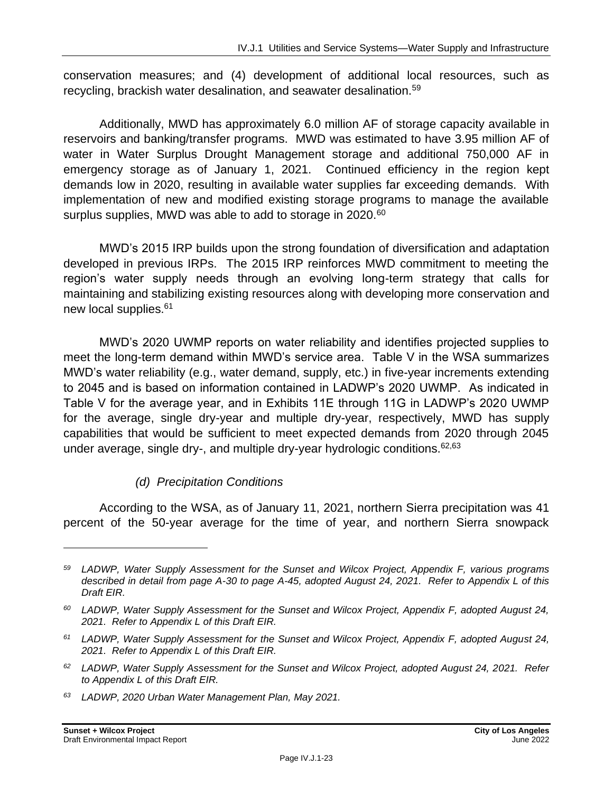conservation measures; and (4) development of additional local resources, such as recycling, brackish water desalination, and seawater desalination.<sup>59</sup>

Additionally, MWD has approximately 6.0 million AF of storage capacity available in reservoirs and banking/transfer programs. MWD was estimated to have 3.95 million AF of water in Water Surplus Drought Management storage and additional 750,000 AF in emergency storage as of January 1, 2021. Continued efficiency in the region kept demands low in 2020, resulting in available water supplies far exceeding demands. With implementation of new and modified existing storage programs to manage the available surplus supplies, MWD was able to add to storage in 2020.<sup>60</sup>

MWD's 2015 IRP builds upon the strong foundation of diversification and adaptation developed in previous IRPs. The 2015 IRP reinforces MWD commitment to meeting the region's water supply needs through an evolving long-term strategy that calls for maintaining and stabilizing existing resources along with developing more conservation and new local supplies.<sup>61</sup>

MWD's 2020 UWMP reports on water reliability and identifies projected supplies to meet the long-term demand within MWD's service area. Table V in the WSA summarizes MWD's water reliability (e.g., water demand, supply, etc.) in five-year increments extending to 2045 and is based on information contained in LADWP's 2020 UWMP. As indicated in Table V for the average year, and in Exhibits 11E through 11G in LADWP's 2020 UWMP for the average, single dry-year and multiple dry-year, respectively, MWD has supply capabilities that would be sufficient to meet expected demands from 2020 through 2045 under average, single dry-, and multiple dry-year hydrologic conditions.  $62,63$ 

#### *(d) Precipitation Conditions*

According to the WSA, as of January 11, 2021, northern Sierra precipitation was 41 percent of the 50-year average for the time of year, and northern Sierra snowpack

*<sup>59</sup> LADWP, Water Supply Assessment for the Sunset and Wilcox Project, Appendix F, various programs described in detail from page A-30 to page A-45, adopted August 24, 2021. Refer to Appendix L of this Draft EIR.*

*<sup>60</sup> LADWP, Water Supply Assessment for the Sunset and Wilcox Project, Appendix F, adopted August 24, 2021. Refer to Appendix L of this Draft EIR.*

*<sup>61</sup> LADWP, Water Supply Assessment for the Sunset and Wilcox Project, Appendix F, adopted August 24, 2021. Refer to Appendix L of this Draft EIR.*

*<sup>62</sup> LADWP, Water Supply Assessment for the Sunset and Wilcox Project, adopted August 24, 2021. Refer to Appendix L of this Draft EIR.*

*<sup>63</sup> LADWP, 2020 Urban Water Management Plan, May 2021.*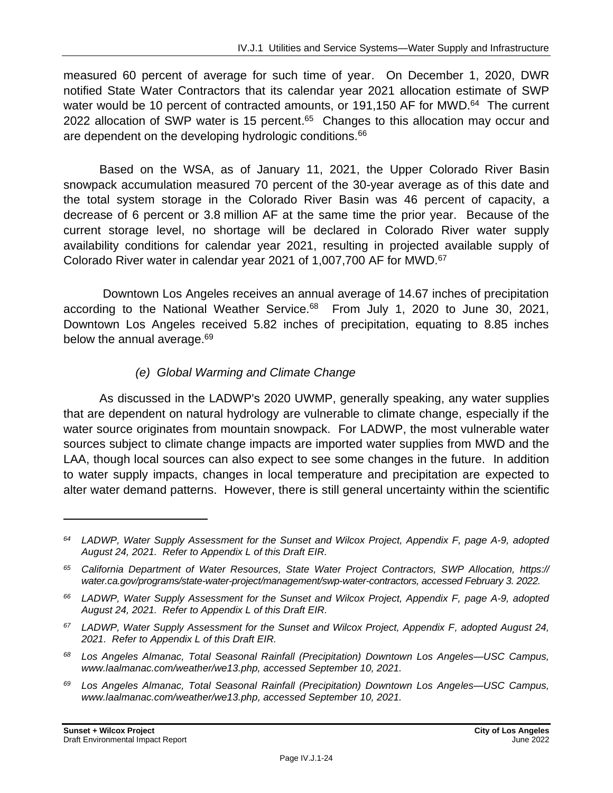measured 60 percent of average for such time of year. On December 1, 2020, DWR notified State Water Contractors that its calendar year 2021 allocation estimate of SWP water would be 10 percent of contracted amounts, or 191,150 AF for MWD.<sup>64</sup> The current 2022 allocation of SWP water is 15 percent.<sup>65</sup> Changes to this allocation may occur and are dependent on the developing hydrologic conditions.<sup>66</sup>

Based on the WSA, as of January 11, 2021, the Upper Colorado River Basin snowpack accumulation measured 70 percent of the 30-year average as of this date and the total system storage in the Colorado River Basin was 46 percent of capacity, a decrease of 6 percent or 3.8 million AF at the same time the prior year. Because of the current storage level, no shortage will be declared in Colorado River water supply availability conditions for calendar year 2021, resulting in projected available supply of Colorado River water in calendar year 2021 of 1,007,700 AF for MWD. 67

Downtown Los Angeles receives an annual average of 14.67 inches of precipitation according to the National Weather Service.<sup>68</sup> From July 1, 2020 to June 30, 2021, Downtown Los Angeles received 5.82 inches of precipitation, equating to 8.85 inches below the annual average.<sup>69</sup>

#### *(e) Global Warming and Climate Change*

As discussed in the LADWP's 2020 UWMP, generally speaking, any water supplies that are dependent on natural hydrology are vulnerable to climate change, especially if the water source originates from mountain snowpack. For LADWP, the most vulnerable water sources subject to climate change impacts are imported water supplies from MWD and the LAA, though local sources can also expect to see some changes in the future. In addition to water supply impacts, changes in local temperature and precipitation are expected to alter water demand patterns. However, there is still general uncertainty within the scientific

*<sup>64</sup> LADWP, Water Supply Assessment for the Sunset and Wilcox Project, Appendix F, page A-9, adopted August 24, 2021. Refer to Appendix L of this Draft EIR.*

*<sup>65</sup> California Department of Water Resources, State Water Project Contractors, SWP Allocation, https:// water.ca.gov/programs/state-water-project/management/swp-water-contractors, accessed February 3. 2022.*

*<sup>66</sup> LADWP, Water Supply Assessment for the Sunset and Wilcox Project, Appendix F, page A-9, adopted August 24, 2021. Refer to Appendix L of this Draft EIR.*

*<sup>67</sup> LADWP, Water Supply Assessment for the Sunset and Wilcox Project, Appendix F, adopted August 24, 2021. Refer to Appendix L of this Draft EIR.*

*<sup>68</sup> Los Angeles Almanac, Total Seasonal Rainfall (Precipitation) Downtown Los Angeles—USC Campus, www.laalmanac.com/weather/we13.php, accessed September 10, 2021.*

*<sup>69</sup> Los Angeles Almanac, Total Seasonal Rainfall (Precipitation) Downtown Los Angeles—USC Campus, www.laalmanac.com/weather/we13.php, accessed September 10, 2021.*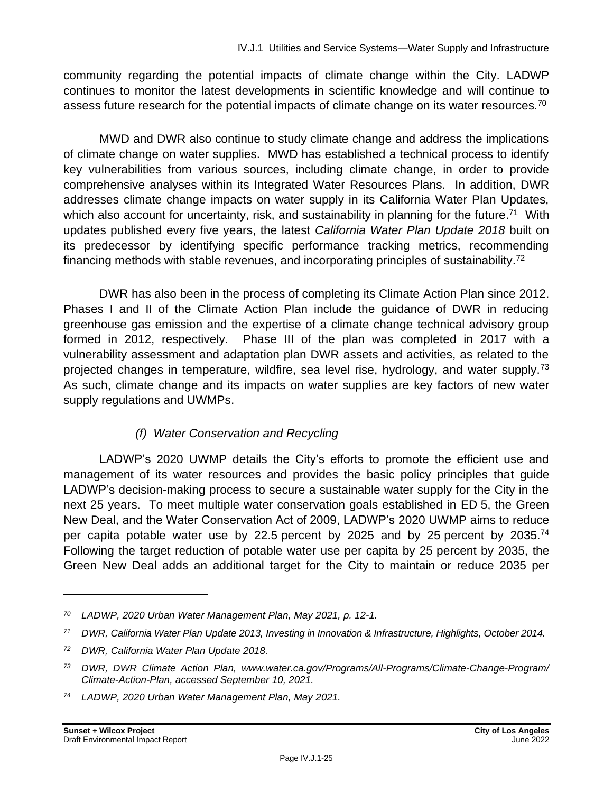community regarding the potential impacts of climate change within the City. LADWP continues to monitor the latest developments in scientific knowledge and will continue to assess future research for the potential impacts of climate change on its water resources.<sup>70</sup>

MWD and DWR also continue to study climate change and address the implications of climate change on water supplies. MWD has established a technical process to identify key vulnerabilities from various sources, including climate change, in order to provide comprehensive analyses within its Integrated Water Resources Plans. In addition, DWR addresses climate change impacts on water supply in its California Water Plan Updates, which also account for uncertainty, risk, and sustainability in planning for the future.<sup>71</sup> With updates published every five years, the latest *California Water Plan Update 2018* built on its predecessor by identifying specific performance tracking metrics, recommending financing methods with stable revenues, and incorporating principles of sustainability.<sup>72</sup>

DWR has also been in the process of completing its Climate Action Plan since 2012. Phases I and II of the Climate Action Plan include the guidance of DWR in reducing greenhouse gas emission and the expertise of a climate change technical advisory group formed in 2012, respectively. Phase III of the plan was completed in 2017 with a vulnerability assessment and adaptation plan DWR assets and activities, as related to the projected changes in temperature, wildfire, sea level rise, hydrology, and water supply.<sup>73</sup> As such, climate change and its impacts on water supplies are key factors of new water supply regulations and UWMPs.

#### *(f) Water Conservation and Recycling*

LADWP's 2020 UWMP details the City's efforts to promote the efficient use and management of its water resources and provides the basic policy principles that guide LADWP's decision-making process to secure a sustainable water supply for the City in the next 25 years. To meet multiple water conservation goals established in ED 5, the Green New Deal, and the Water Conservation Act of 2009, LADWP's 2020 UWMP aims to reduce per capita potable water use by 22.5 percent by 2025 and by 25 percent by 2035.<sup>74</sup> Following the target reduction of potable water use per capita by 25 percent by 2035, the Green New Deal adds an additional target for the City to maintain or reduce 2035 per

*<sup>70</sup> LADWP, 2020 Urban Water Management Plan, May 2021, p. 12-1.*

*<sup>71</sup> DWR, California Water Plan Update 2013, Investing in Innovation & Infrastructure, Highlights, October 2014.*

*<sup>72</sup> DWR, California Water Plan Update 2018.*

*<sup>73</sup> DWR, DWR Climate Action Plan, www.water.ca.gov/Programs/All-Programs/Climate-Change-Program/ Climate-Action-Plan, accessed September 10, 2021.*

*<sup>74</sup> LADWP, 2020 Urban Water Management Plan, May 2021.*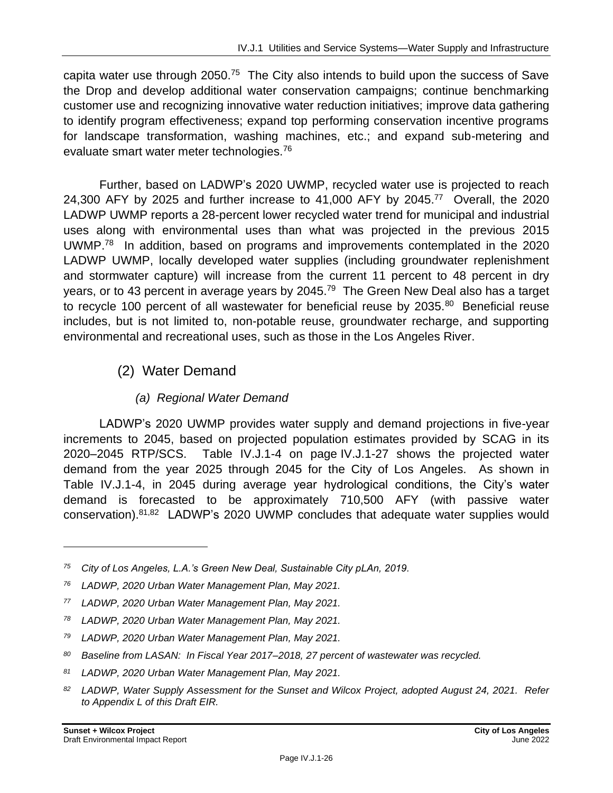capita water use through 2050.<sup>75</sup> The City also intends to build upon the success of Save the Drop and develop additional water conservation campaigns; continue benchmarking customer use and recognizing innovative water reduction initiatives; improve data gathering to identify program effectiveness; expand top performing conservation incentive programs for landscape transformation, washing machines, etc.; and expand sub-metering and evaluate smart water meter technologies.<sup>76</sup>

Further, based on LADWP's 2020 UWMP, recycled water use is projected to reach 24,300 AFY by 2025 and further increase to 41,000 AFY by 2045. 77 Overall, the 2020 LADWP UWMP reports a 28-percent lower recycled water trend for municipal and industrial uses along with environmental uses than what was projected in the previous 2015 UWMP.<sup>78</sup> In addition, based on programs and improvements contemplated in the 2020 LADWP UWMP, locally developed water supplies (including groundwater replenishment and stormwater capture) will increase from the current 11 percent to 48 percent in dry years, or to 43 percent in average years by 2045.<sup>79</sup> The Green New Deal also has a target to recycle 100 percent of all wastewater for beneficial reuse by 2035.<sup>80</sup> Beneficial reuse includes, but is not limited to, non-potable reuse, groundwater recharge, and supporting environmental and recreational uses, such as those in the Los Angeles River.

### (2) Water Demand

#### *(a) Regional Water Demand*

LADWP's 2020 UWMP provides water supply and demand projections in five-year increments to 2045, based on projected population estimates provided by SCAG in its 2020–2045 RTP/SCS. Table IV.J.1-4 on page IV.J.1-27 shows the projected water demand from the year 2025 through 2045 for the City of Los Angeles. As shown in Table IV.J.1-4, in 2045 during average year hydrological conditions, the City's water demand is forecasted to be approximately 710,500 AFY (with passive water conservation).<sup>81,82</sup> LADWP's 2020 UWMP concludes that adequate water supplies would

*<sup>75</sup> City of Los Angeles, L.A.'s Green New Deal, Sustainable City pLAn, 2019.*

*<sup>76</sup> LADWP, 2020 Urban Water Management Plan, May 2021.*

*<sup>77</sup> LADWP, 2020 Urban Water Management Plan, May 2021.*

*<sup>78</sup> LADWP, 2020 Urban Water Management Plan, May 2021.*

*<sup>79</sup> LADWP, 2020 Urban Water Management Plan, May 2021.*

*<sup>80</sup> Baseline from LASAN: In Fiscal Year 2017–2018, 27 percent of wastewater was recycled.*

*<sup>81</sup> LADWP, 2020 Urban Water Management Plan, May 2021.*

*<sup>82</sup> LADWP, Water Supply Assessment for the Sunset and Wilcox Project, adopted August 24, 2021. Refer to Appendix L of this Draft EIR.*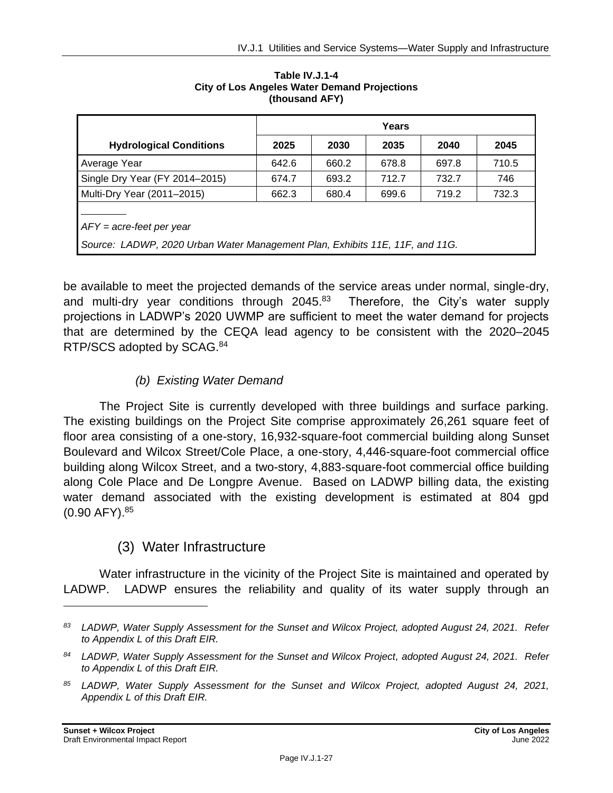|                                                                                                            | Years |       |       |       |       |
|------------------------------------------------------------------------------------------------------------|-------|-------|-------|-------|-------|
| <b>Hydrological Conditions</b>                                                                             | 2025  | 2030  | 2035  | 2040  | 2045  |
| Average Year                                                                                               | 642.6 | 660.2 | 678.8 | 697.8 | 710.5 |
| Single Dry Year (FY 2014-2015)                                                                             | 674.7 | 693.2 | 712.7 | 732.7 | 746   |
| Multi-Dry Year (2011–2015)                                                                                 | 662.3 | 680.4 | 699.6 | 719.2 | 732.3 |
| $AFY = acre-free$ per year<br>Source: LADWP, 2020 Urban Water Management Plan, Exhibits 11E, 11F, and 11G. |       |       |       |       |       |

#### **Table IV.J.1-4 City of Los Angeles Water Demand Projections (thousand AFY)**

be available to meet the projected demands of the service areas under normal, single-dry, and multi-dry year conditions through 2045.<sup>83</sup> Therefore, the City's water supply projections in LADWP's 2020 UWMP are sufficient to meet the water demand for projects that are determined by the CEQA lead agency to be consistent with the 2020–2045 RTP/SCS adopted by SCAG.<sup>84</sup>

### *(b) Existing Water Demand*

The Project Site is currently developed with three buildings and surface parking. The existing buildings on the Project Site comprise approximately 26,261 square feet of floor area consisting of a one-story, 16,932-square-foot commercial building along Sunset Boulevard and Wilcox Street/Cole Place, a one-story, 4,446-square-foot commercial office building along Wilcox Street, and a two-story, 4,883-square-foot commercial office building along Cole Place and De Longpre Avenue. Based on LADWP billing data, the existing water demand associated with the existing development is estimated at 804 gpd (0.90 AFY).<sup>85</sup>

## (3) Water Infrastructure

Water infrastructure in the vicinity of the Project Site is maintained and operated by LADWP. LADWP ensures the reliability and quality of its water supply through an

*<sup>83</sup> LADWP, Water Supply Assessment for the Sunset and Wilcox Project, adopted August 24, 2021. Refer to Appendix L of this Draft EIR.*

*<sup>84</sup> LADWP, Water Supply Assessment for the Sunset and Wilcox Project, adopted August 24, 2021. Refer to Appendix L of this Draft EIR.*

*<sup>85</sup> LADWP, Water Supply Assessment for the Sunset and Wilcox Project, adopted August 24, 2021, Appendix L of this Draft EIR.*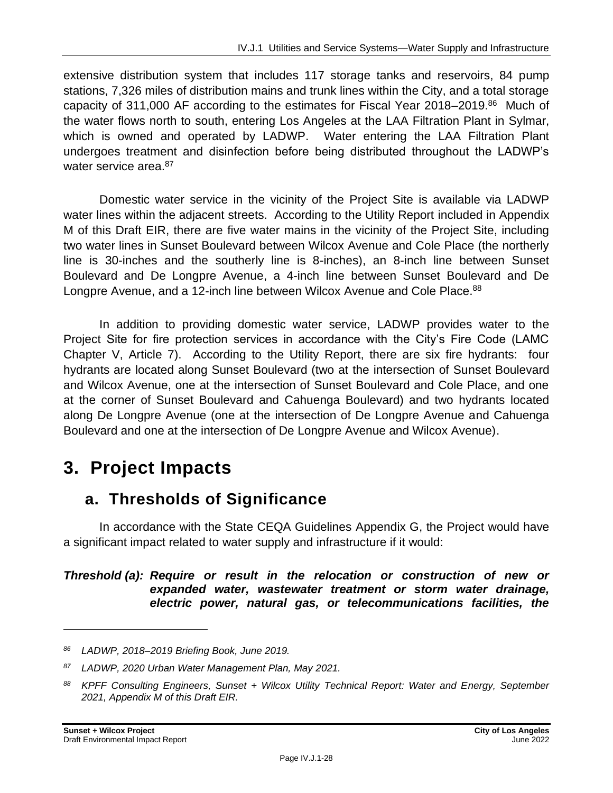extensive distribution system that includes 117 storage tanks and reservoirs, 84 pump stations, 7,326 miles of distribution mains and trunk lines within the City, and a total storage capacity of 311,000 AF according to the estimates for Fiscal Year 2018–2019.<sup>86</sup> Much of the water flows north to south, entering Los Angeles at the LAA Filtration Plant in Sylmar, which is owned and operated by LADWP. Water entering the LAA Filtration Plant undergoes treatment and disinfection before being distributed throughout the LADWP's water service area.<sup>87</sup>

Domestic water service in the vicinity of the Project Site is available via LADWP water lines within the adjacent streets. According to the Utility Report included in Appendix M of this Draft EIR, there are five water mains in the vicinity of the Project Site, including two water lines in Sunset Boulevard between Wilcox Avenue and Cole Place (the northerly line is 30-inches and the southerly line is 8-inches), an 8-inch line between Sunset Boulevard and De Longpre Avenue, a 4-inch line between Sunset Boulevard and De Longpre Avenue, and a 12-inch line between Wilcox Avenue and Cole Place.<sup>88</sup>

In addition to providing domestic water service, LADWP provides water to the Project Site for fire protection services in accordance with the City's Fire Code (LAMC Chapter V, Article 7). According to the Utility Report, there are six fire hydrants: four hydrants are located along Sunset Boulevard (two at the intersection of Sunset Boulevard and Wilcox Avenue, one at the intersection of Sunset Boulevard and Cole Place, and one at the corner of Sunset Boulevard and Cahuenga Boulevard) and two hydrants located along De Longpre Avenue (one at the intersection of De Longpre Avenue and Cahuenga Boulevard and one at the intersection of De Longpre Avenue and Wilcox Avenue).

# **3. Project Impacts**

## **a. Thresholds of Significance**

In accordance with the State CEQA Guidelines Appendix G, the Project would have a significant impact related to water supply and infrastructure if it would:

#### *Threshold (a): Require or result in the relocation or construction of new or expanded water, wastewater treatment or storm water drainage, electric power, natural gas, or telecommunications facilities, the*

*<sup>86</sup> LADWP, 2018–2019 Briefing Book, June 2019.*

*<sup>87</sup> LADWP, 2020 Urban Water Management Plan, May 2021.*

*<sup>88</sup> KPFF Consulting Engineers, Sunset + Wilcox Utility Technical Report: Water and Energy, September 2021, Appendix M of this Draft EIR.*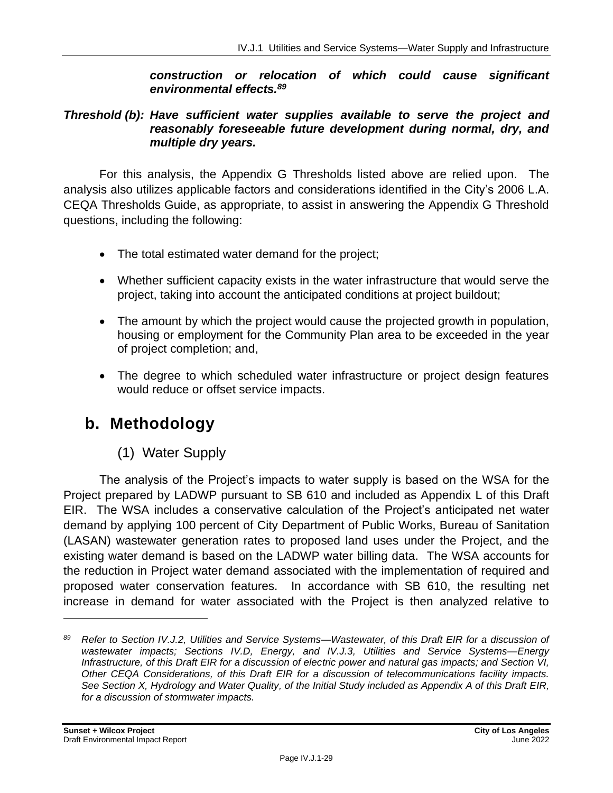#### *construction or relocation of which could cause significant environmental effects.<sup>89</sup>*

#### *Threshold (b): Have sufficient water supplies available to serve the project and reasonably foreseeable future development during normal, dry, and multiple dry years.*

For this analysis, the Appendix G Thresholds listed above are relied upon. The analysis also utilizes applicable factors and considerations identified in the City's 2006 L.A. CEQA Thresholds Guide, as appropriate, to assist in answering the Appendix G Threshold questions, including the following:

- The total estimated water demand for the project;
- Whether sufficient capacity exists in the water infrastructure that would serve the project, taking into account the anticipated conditions at project buildout;
- The amount by which the project would cause the projected growth in population, housing or employment for the Community Plan area to be exceeded in the year of project completion; and,
- The degree to which scheduled water infrastructure or project design features would reduce or offset service impacts.

## **b. Methodology**

## (1) Water Supply

The analysis of the Project's impacts to water supply is based on the WSA for the Project prepared by LADWP pursuant to SB 610 and included as Appendix L of this Draft EIR. The WSA includes a conservative calculation of the Project's anticipated net water demand by applying 100 percent of City Department of Public Works, Bureau of Sanitation (LASAN) wastewater generation rates to proposed land uses under the Project, and the existing water demand is based on the LADWP water billing data. The WSA accounts for the reduction in Project water demand associated with the implementation of required and proposed water conservation features. In accordance with SB 610, the resulting net increase in demand for water associated with the Project is then analyzed relative to

*<sup>89</sup> Refer to Section IV.J.2, Utilities and Service Systems—Wastewater, of this Draft EIR for a discussion of wastewater impacts; Sections IV.D, Energy, and IV.J.3, Utilities and Service Systems—Energy Infrastructure, of this Draft EIR for a discussion of electric power and natural gas impacts; and Section VI, Other CEQA Considerations, of this Draft EIR for a discussion of telecommunications facility impacts. See Section X, Hydrology and Water Quality, of the Initial Study included as Appendix A of this Draft EIR, for a discussion of stormwater impacts.*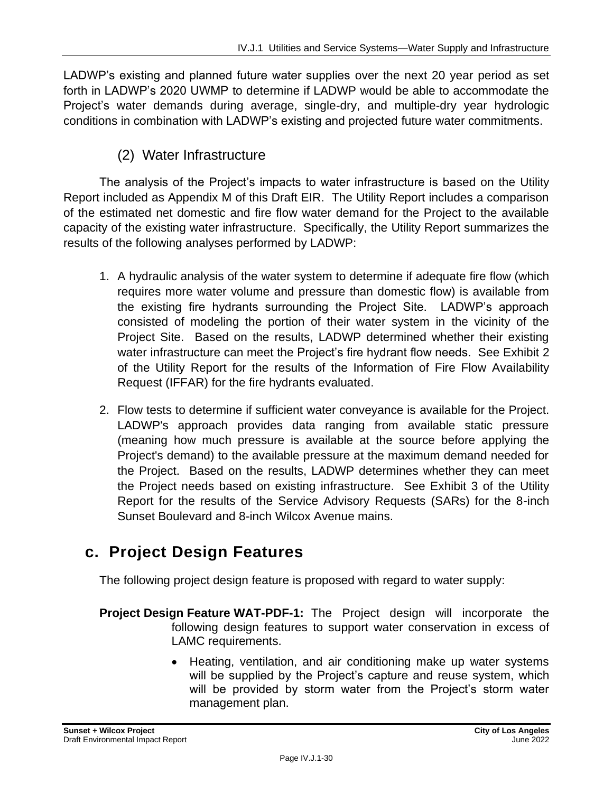LADWP's existing and planned future water supplies over the next 20 year period as set forth in LADWP's 2020 UWMP to determine if LADWP would be able to accommodate the Project's water demands during average, single-dry, and multiple-dry year hydrologic conditions in combination with LADWP's existing and projected future water commitments.

#### (2) Water Infrastructure

The analysis of the Project's impacts to water infrastructure is based on the Utility Report included as Appendix M of this Draft EIR. The Utility Report includes a comparison of the estimated net domestic and fire flow water demand for the Project to the available capacity of the existing water infrastructure. Specifically, the Utility Report summarizes the results of the following analyses performed by LADWP:

- 1. A hydraulic analysis of the water system to determine if adequate fire flow (which requires more water volume and pressure than domestic flow) is available from the existing fire hydrants surrounding the Project Site. LADWP's approach consisted of modeling the portion of their water system in the vicinity of the Project Site. Based on the results, LADWP determined whether their existing water infrastructure can meet the Project's fire hydrant flow needs. See Exhibit 2 of the Utility Report for the results of the Information of Fire Flow Availability Request (IFFAR) for the fire hydrants evaluated.
- 2. Flow tests to determine if sufficient water conveyance is available for the Project. LADWP's approach provides data ranging from available static pressure (meaning how much pressure is available at the source before applying the Project's demand) to the available pressure at the maximum demand needed for the Project. Based on the results, LADWP determines whether they can meet the Project needs based on existing infrastructure. See Exhibit 3 of the Utility Report for the results of the Service Advisory Requests (SARs) for the 8-inch Sunset Boulevard and 8-inch Wilcox Avenue mains.

## **c. Project Design Features**

The following project design feature is proposed with regard to water supply:

- **Project Design Feature WAT-PDF-1:** The Project design will incorporate the following design features to support water conservation in excess of LAMC requirements.
	- Heating, ventilation, and air conditioning make up water systems will be supplied by the Project's capture and reuse system, which will be provided by storm water from the Project's storm water management plan.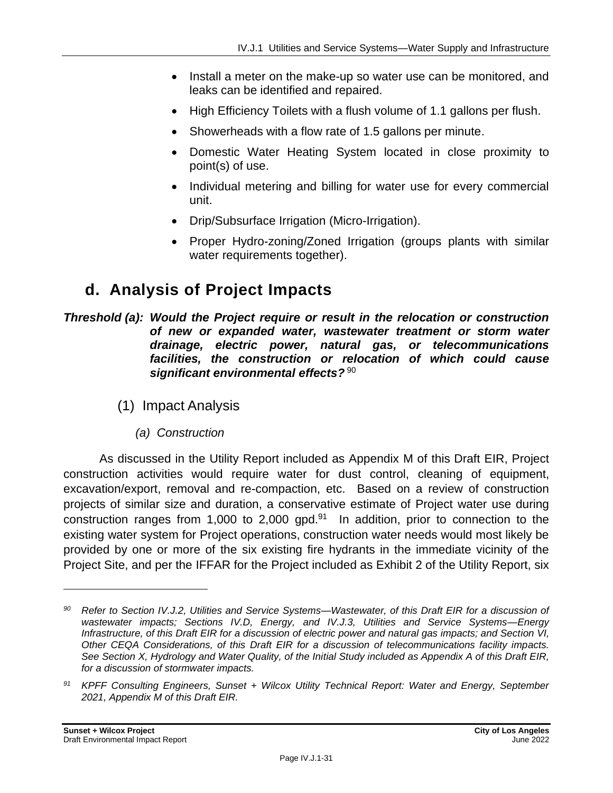- Install a meter on the make-up so water use can be monitored, and leaks can be identified and repaired.
- High Efficiency Toilets with a flush volume of 1.1 gallons per flush.
- Showerheads with a flow rate of 1.5 gallons per minute.
- Domestic Water Heating System located in close proximity to point(s) of use.
- Individual metering and billing for water use for every commercial unit.
- Drip/Subsurface Irrigation (Micro-Irrigation).
- Proper Hydro-zoning/Zoned Irrigation (groups plants with similar water requirements together).

## **d. Analysis of Project Impacts**

*Threshold (a): Would the Project require or result in the relocation or construction of new or expanded water, wastewater treatment or storm water drainage, electric power, natural gas, or telecommunications facilities, the construction or relocation of which could cause significant environmental effects?* <sup>90</sup>

- (1) Impact Analysis
	- *(a) Construction*

As discussed in the Utility Report included as Appendix M of this Draft EIR, Project construction activities would require water for dust control, cleaning of equipment, excavation/export, removal and re-compaction, etc. Based on a review of construction projects of similar size and duration, a conservative estimate of Project water use during construction ranges from 1,000 to 2,000 gpd. $91$  In addition, prior to connection to the existing water system for Project operations, construction water needs would most likely be provided by one or more of the six existing fire hydrants in the immediate vicinity of the Project Site, and per the IFFAR for the Project included as Exhibit 2 of the Utility Report, six

*<sup>90</sup> Refer to Section IV.J.2, Utilities and Service Systems—Wastewater, of this Draft EIR for a discussion of wastewater impacts; Sections IV.D, Energy, and IV.J.3, Utilities and Service Systems—Energy Infrastructure, of this Draft EIR for a discussion of electric power and natural gas impacts; and Section VI, Other CEQA Considerations, of this Draft EIR for a discussion of telecommunications facility impacts. See Section X, Hydrology and Water Quality, of the Initial Study included as Appendix A of this Draft EIR, for a discussion of stormwater impacts.*

*<sup>91</sup> KPFF Consulting Engineers, Sunset + Wilcox Utility Technical Report: Water and Energy, September 2021, Appendix M of this Draft EIR.*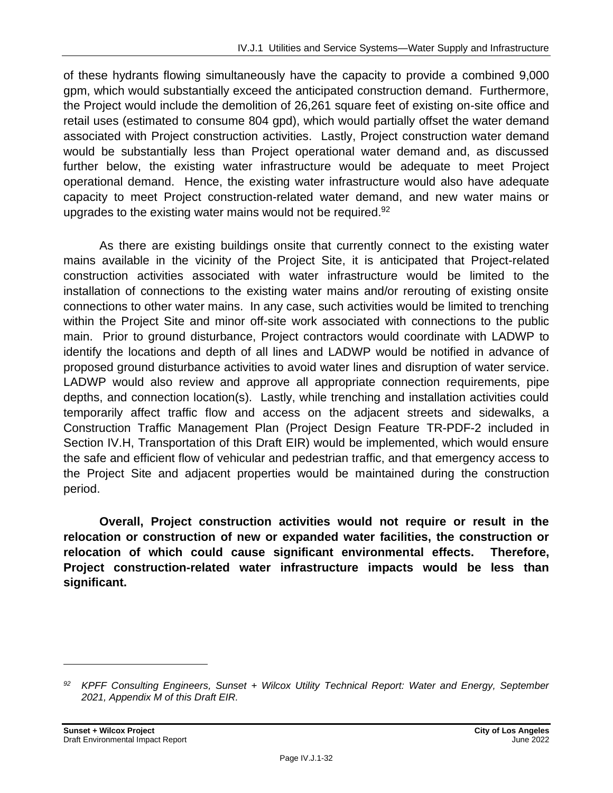of these hydrants flowing simultaneously have the capacity to provide a combined 9,000 gpm, which would substantially exceed the anticipated construction demand. Furthermore, the Project would include the demolition of 26,261 square feet of existing on-site office and retail uses (estimated to consume 804 gpd), which would partially offset the water demand associated with Project construction activities. Lastly, Project construction water demand would be substantially less than Project operational water demand and, as discussed further below, the existing water infrastructure would be adequate to meet Project operational demand. Hence, the existing water infrastructure would also have adequate capacity to meet Project construction-related water demand, and new water mains or upgrades to the existing water mains would not be required.<sup>92</sup>

As there are existing buildings onsite that currently connect to the existing water mains available in the vicinity of the Project Site, it is anticipated that Project-related construction activities associated with water infrastructure would be limited to the installation of connections to the existing water mains and/or rerouting of existing onsite connections to other water mains. In any case, such activities would be limited to trenching within the Project Site and minor off-site work associated with connections to the public main. Prior to ground disturbance, Project contractors would coordinate with LADWP to identify the locations and depth of all lines and LADWP would be notified in advance of proposed ground disturbance activities to avoid water lines and disruption of water service. LADWP would also review and approve all appropriate connection requirements, pipe depths, and connection location(s). Lastly, while trenching and installation activities could temporarily affect traffic flow and access on the adjacent streets and sidewalks, a Construction Traffic Management Plan (Project Design Feature TR-PDF-2 included in Section IV.H, Transportation of this Draft EIR) would be implemented, which would ensure the safe and efficient flow of vehicular and pedestrian traffic, and that emergency access to the Project Site and adjacent properties would be maintained during the construction period.

**Overall, Project construction activities would not require or result in the relocation or construction of new or expanded water facilities, the construction or relocation of which could cause significant environmental effects. Therefore, Project construction-related water infrastructure impacts would be less than significant.**

*<sup>92</sup> KPFF Consulting Engineers, Sunset + Wilcox Utility Technical Report: Water and Energy, September 2021, Appendix M of this Draft EIR.*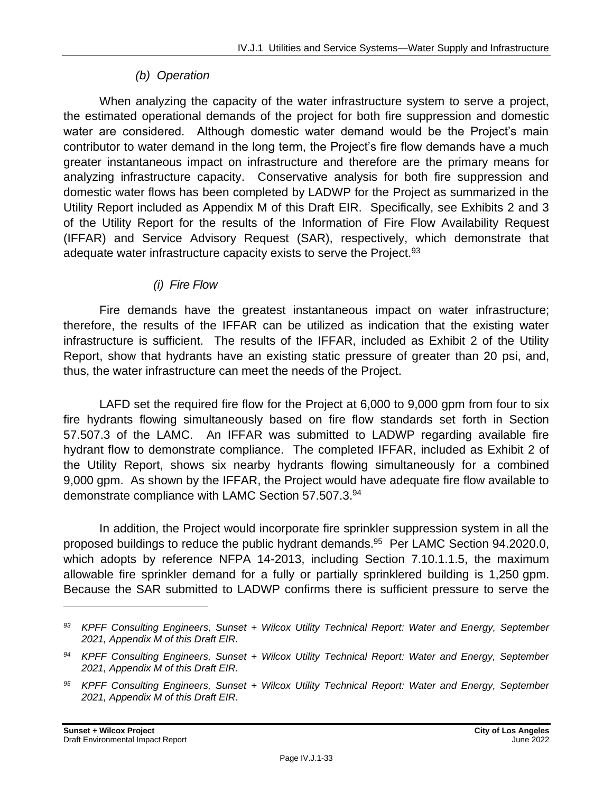#### *(b) Operation*

When analyzing the capacity of the water infrastructure system to serve a project, the estimated operational demands of the project for both fire suppression and domestic water are considered. Although domestic water demand would be the Project's main contributor to water demand in the long term, the Project's fire flow demands have a much greater instantaneous impact on infrastructure and therefore are the primary means for analyzing infrastructure capacity. Conservative analysis for both fire suppression and domestic water flows has been completed by LADWP for the Project as summarized in the Utility Report included as Appendix M of this Draft EIR. Specifically, see Exhibits 2 and 3 of the Utility Report for the results of the Information of Fire Flow Availability Request (IFFAR) and Service Advisory Request (SAR), respectively, which demonstrate that adequate water infrastructure capacity exists to serve the Project.<sup>93</sup>

#### *(i) Fire Flow*

Fire demands have the greatest instantaneous impact on water infrastructure; therefore, the results of the IFFAR can be utilized as indication that the existing water infrastructure is sufficient. The results of the IFFAR, included as Exhibit 2 of the Utility Report, show that hydrants have an existing static pressure of greater than 20 psi, and, thus, the water infrastructure can meet the needs of the Project.

LAFD set the required fire flow for the Project at 6,000 to 9,000 gpm from four to six fire hydrants flowing simultaneously based on fire flow standards set forth in Section 57.507.3 of the LAMC. An IFFAR was submitted to LADWP regarding available fire hydrant flow to demonstrate compliance. The completed IFFAR, included as Exhibit 2 of the Utility Report, shows six nearby hydrants flowing simultaneously for a combined 9,000 gpm. As shown by the IFFAR, the Project would have adequate fire flow available to demonstrate compliance with LAMC Section 57.507.3.<sup>94</sup>

In addition, the Project would incorporate fire sprinkler suppression system in all the proposed buildings to reduce the public hydrant demands.<sup>95</sup> Per LAMC Section 94.2020.0, which adopts by reference NFPA 14-2013, including Section 7.10.1.1.5, the maximum allowable fire sprinkler demand for a fully or partially sprinklered building is 1,250 gpm. Because the SAR submitted to LADWP confirms there is sufficient pressure to serve the

*<sup>93</sup> KPFF Consulting Engineers, Sunset + Wilcox Utility Technical Report: Water and Energy, September 2021, Appendix M of this Draft EIR.*

*<sup>94</sup> KPFF Consulting Engineers, Sunset + Wilcox Utility Technical Report: Water and Energy, September 2021, Appendix M of this Draft EIR.*

*<sup>95</sup> KPFF Consulting Engineers, Sunset + Wilcox Utility Technical Report: Water and Energy, September 2021, Appendix M of this Draft EIR.*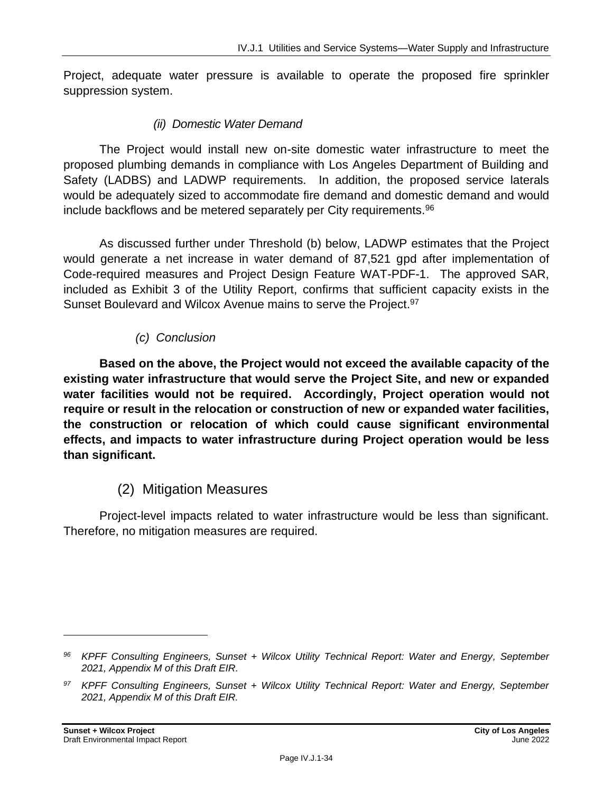Project, adequate water pressure is available to operate the proposed fire sprinkler suppression system.

#### *(ii) Domestic Water Demand*

The Project would install new on-site domestic water infrastructure to meet the proposed plumbing demands in compliance with Los Angeles Department of Building and Safety (LADBS) and LADWP requirements. In addition, the proposed service laterals would be adequately sized to accommodate fire demand and domestic demand and would include backflows and be metered separately per City requirements.<sup>96</sup>

As discussed further under Threshold (b) below, LADWP estimates that the Project would generate a net increase in water demand of 87,521 gpd after implementation of Code-required measures and Project Design Feature WAT-PDF-1. The approved SAR, included as Exhibit 3 of the Utility Report, confirms that sufficient capacity exists in the Sunset Boulevard and Wilcox Avenue mains to serve the Project.<sup>97</sup>

#### *(c) Conclusion*

**Based on the above, the Project would not exceed the available capacity of the existing water infrastructure that would serve the Project Site, and new or expanded water facilities would not be required. Accordingly, Project operation would not require or result in the relocation or construction of new or expanded water facilities, the construction or relocation of which could cause significant environmental effects, and impacts to water infrastructure during Project operation would be less than significant.**

## (2) Mitigation Measures

Project-level impacts related to water infrastructure would be less than significant. Therefore, no mitigation measures are required.

*<sup>96</sup> KPFF Consulting Engineers, Sunset + Wilcox Utility Technical Report: Water and Energy, September 2021, Appendix M of this Draft EIR.*

*<sup>97</sup> KPFF Consulting Engineers, Sunset + Wilcox Utility Technical Report: Water and Energy, September 2021, Appendix M of this Draft EIR.*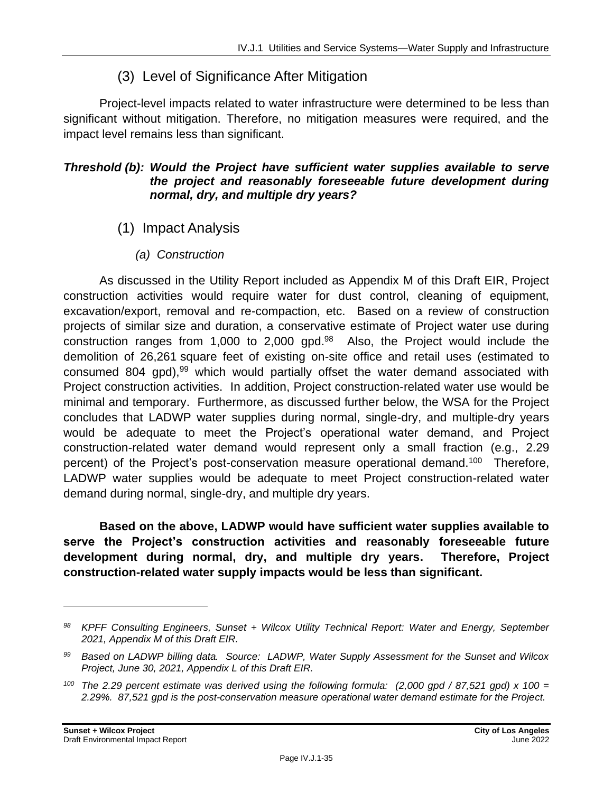#### (3) Level of Significance After Mitigation

Project-level impacts related to water infrastructure were determined to be less than significant without mitigation. Therefore, no mitigation measures were required, and the impact level remains less than significant.

#### *Threshold (b): Would the Project have sufficient water supplies available to serve the project and reasonably foreseeable future development during normal, dry, and multiple dry years?*

- (1) Impact Analysis
	- *(a) Construction*

As discussed in the Utility Report included as Appendix M of this Draft EIR, Project construction activities would require water for dust control, cleaning of equipment, excavation/export, removal and re-compaction, etc. Based on a review of construction projects of similar size and duration, a conservative estimate of Project water use during construction ranges from 1,000 to 2,000 gpd.<sup>98</sup> Also, the Project would include the demolition of 26,261 square feet of existing on-site office and retail uses (estimated to consumed 804 gpd),<sup>99</sup> which would partially offset the water demand associated with Project construction activities. In addition, Project construction-related water use would be minimal and temporary. Furthermore, as discussed further below, the WSA for the Project concludes that LADWP water supplies during normal, single-dry, and multiple-dry years would be adequate to meet the Project's operational water demand, and Project construction-related water demand would represent only a small fraction (e.g., 2.29 percent) of the Project's post-conservation measure operational demand.<sup>100</sup> Therefore, LADWP water supplies would be adequate to meet Project construction-related water demand during normal, single-dry, and multiple dry years.

**Based on the above, LADWP would have sufficient water supplies available to serve the Project's construction activities and reasonably foreseeable future development during normal, dry, and multiple dry years. Therefore, Project construction-related water supply impacts would be less than significant.**

*<sup>98</sup> KPFF Consulting Engineers, Sunset + Wilcox Utility Technical Report: Water and Energy, September 2021, Appendix M of this Draft EIR.*

*<sup>99</sup> Based on LADWP billing data. Source: LADWP, Water Supply Assessment for the Sunset and Wilcox Project, June 30, 2021, Appendix L of this Draft EIR.*

*<sup>100</sup> The 2.29 percent estimate was derived using the following formula: (2,000 gpd / 87,521 gpd) x 100 = 2.29%. 87,521 gpd is the post-conservation measure operational water demand estimate for the Project.*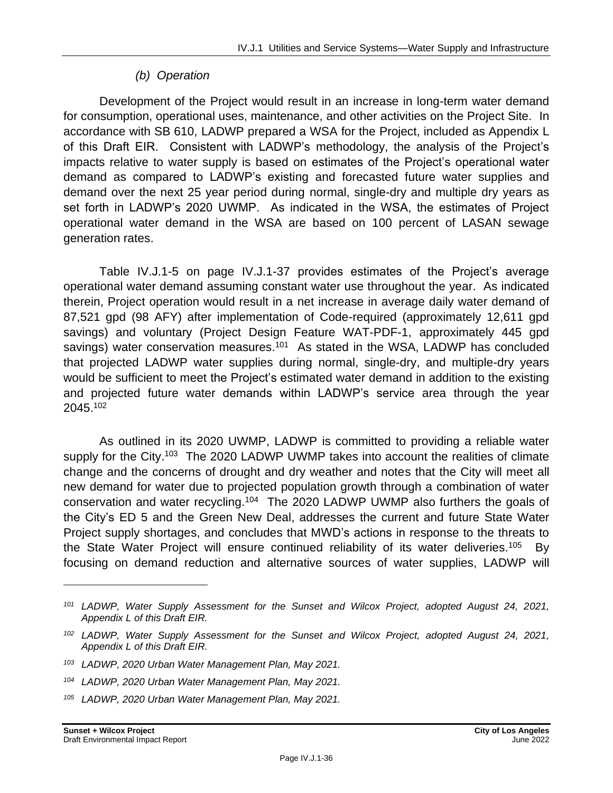#### *(b) Operation*

Development of the Project would result in an increase in long-term water demand for consumption, operational uses, maintenance, and other activities on the Project Site. In accordance with SB 610, LADWP prepared a WSA for the Project, included as Appendix L of this Draft EIR. Consistent with LADWP's methodology, the analysis of the Project's impacts relative to water supply is based on estimates of the Project's operational water demand as compared to LADWP's existing and forecasted future water supplies and demand over the next 25 year period during normal, single-dry and multiple dry years as set forth in LADWP's 2020 UWMP. As indicated in the WSA, the estimates of Project operational water demand in the WSA are based on 100 percent of LASAN sewage generation rates.

Table IV.J.1-5 on page IV.J.1-37 provides estimates of the Project's average operational water demand assuming constant water use throughout the year. As indicated therein, Project operation would result in a net increase in average daily water demand of 87,521 gpd (98 AFY) after implementation of Code-required (approximately 12,611 gpd savings) and voluntary (Project Design Feature WAT-PDF-1, approximately 445 gpd savings) water conservation measures.<sup>101</sup> As stated in the WSA, LADWP has concluded that projected LADWP water supplies during normal, single-dry, and multiple-dry years would be sufficient to meet the Project's estimated water demand in addition to the existing and projected future water demands within LADWP's service area through the year 2045.<sup>102</sup>

As outlined in its 2020 UWMP, LADWP is committed to providing a reliable water supply for the City.<sup>103</sup> The 2020 LADWP UWMP takes into account the realities of climate change and the concerns of drought and dry weather and notes that the City will meet all new demand for water due to projected population growth through a combination of water conservation and water recycling.<sup>104</sup> The 2020 LADWP UWMP also furthers the goals of the City's ED 5 and the Green New Deal, addresses the current and future State Water Project supply shortages, and concludes that MWD's actions in response to the threats to the State Water Project will ensure continued reliability of its water deliveries.<sup>105</sup> By focusing on demand reduction and alternative sources of water supplies, LADWP will

*<sup>101</sup> LADWP, Water Supply Assessment for the Sunset and Wilcox Project, adopted August 24, 2021, Appendix L of this Draft EIR.*

*<sup>102</sup> LADWP, Water Supply Assessment for the Sunset and Wilcox Project, adopted August 24, 2021, Appendix L of this Draft EIR.*

*<sup>103</sup> LADWP, 2020 Urban Water Management Plan, May 2021.*

*<sup>104</sup> LADWP, 2020 Urban Water Management Plan, May 2021.*

*<sup>105</sup> LADWP, 2020 Urban Water Management Plan, May 2021.*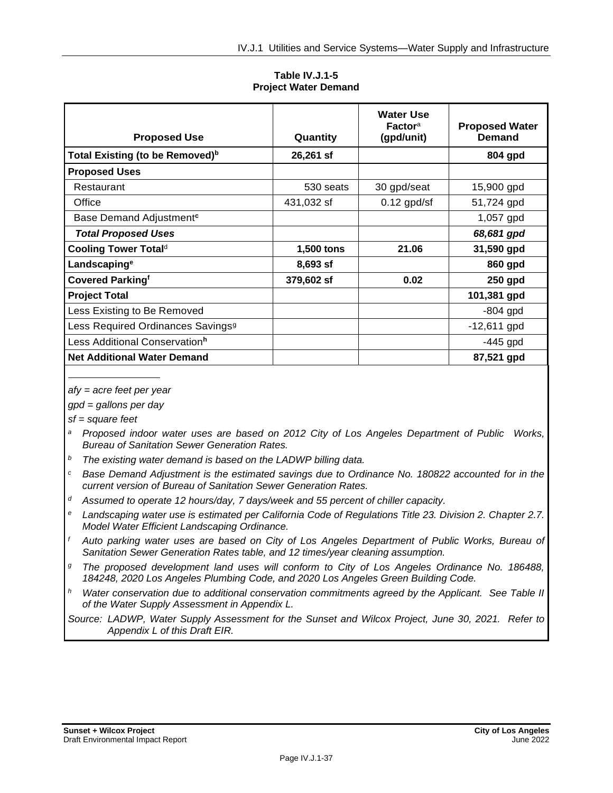**Table IV.J.1-5 Project Water Demand**

| <b>Proposed Use</b>                           | Quantity   | <b>Water Use</b><br>Factora<br>(gpd/unit) | <b>Proposed Water</b><br>Demand |
|-----------------------------------------------|------------|-------------------------------------------|---------------------------------|
| Total Existing (to be Removed) <sup>b</sup>   | 26,261 sf  |                                           | 804 gpd                         |
| <b>Proposed Uses</b>                          |            |                                           |                                 |
| Restaurant                                    | 530 seats  | 30 gpd/seat                               | 15,900 gpd                      |
| Office                                        | 431,032 sf | $0.12$ gpd/sf                             | 51,724 gpd                      |
| Base Demand Adjustment <sup>c</sup>           |            |                                           | 1,057 gpd                       |
| <b>Total Proposed Uses</b>                    |            |                                           | 68,681 gpd                      |
| Cooling Tower Total <sup>d</sup>              | 1,500 tons | 21.06                                     | 31,590 gpd                      |
| Landscaping <sup>e</sup>                      | 8,693 sf   |                                           | 860 gpd                         |
| <b>Covered Parkingf</b>                       | 379,602 sf | 0.02                                      | $250$ gpd                       |
| <b>Project Total</b>                          |            |                                           | 101,381 gpd                     |
| Less Existing to Be Removed                   |            |                                           | $-804$ gpd                      |
| Less Required Ordinances Savings <sup>9</sup> |            |                                           | $-12,611$ gpd                   |
| Less Additional Conservation <sup>h</sup>     |            |                                           | $-445$ gpd                      |
| <b>Net Additional Water Demand</b>            |            |                                           | 87,521 gpd                      |

*afy = acre feet per year*

*gpd = gallons per day*

*sf = square feet*

- *<sup>a</sup> Proposed indoor water uses are based on 2012 City of Los Angeles Department of Public Works, Bureau of Sanitation Sewer Generation Rates.*
- *<sup>b</sup> The existing water demand is based on the LADWP billing data.*
- *<sup>c</sup> Base Demand Adjustment is the estimated savings due to Ordinance No. 180822 accounted for in the current version of Bureau of Sanitation Sewer Generation Rates.*
- *<sup>d</sup> Assumed to operate 12 hours/day, 7 days/week and 55 percent of chiller capacity.*
- *<sup>e</sup> Landscaping water use is estimated per California Code of Regulations Title 23. Division 2. Chapter 2.7. Model Water Efficient Landscaping Ordinance.*
- *<sup>f</sup> Auto parking water uses are based on City of Los Angeles Department of Public Works, Bureau of Sanitation Sewer Generation Rates table, and 12 times/year cleaning assumption.*
- *<sup>g</sup> The proposed development land uses will conform to City of Los Angeles Ordinance No. 186488, 184248, 2020 Los Angeles Plumbing Code, and 2020 Los Angeles Green Building Code.*
- *<sup>h</sup> Water conservation due to additional conservation commitments agreed by the Applicant. See Table II of the Water Supply Assessment in Appendix L.*

*Source: LADWP, Water Supply Assessment for the Sunset and Wilcox Project, June 30, 2021. Refer to Appendix L of this Draft EIR.*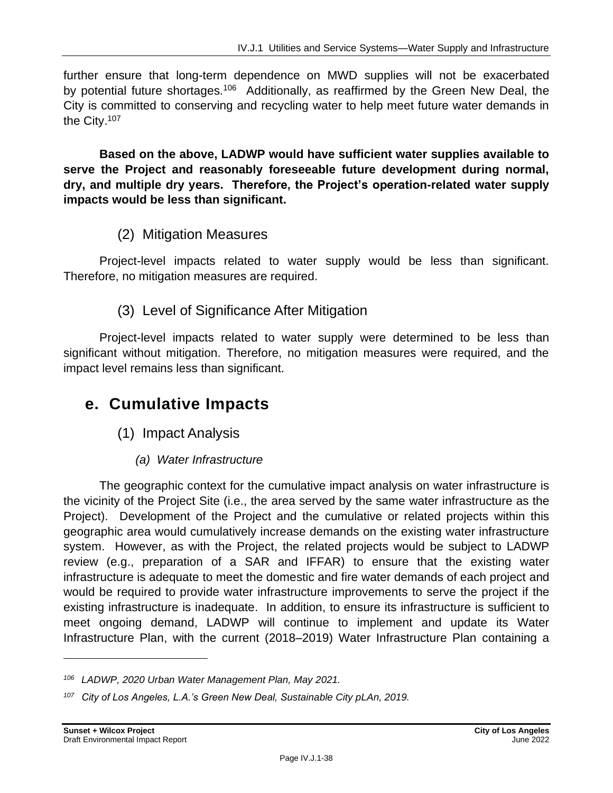further ensure that long-term dependence on MWD supplies will not be exacerbated by potential future shortages.<sup>106</sup> Additionally, as reaffirmed by the Green New Deal, the City is committed to conserving and recycling water to help meet future water demands in the City.<sup>107</sup>

**Based on the above, LADWP would have sufficient water supplies available to serve the Project and reasonably foreseeable future development during normal, dry, and multiple dry years. Therefore, the Project's operation-related water supply impacts would be less than significant.**

#### (2) Mitigation Measures

Project-level impacts related to water supply would be less than significant. Therefore, no mitigation measures are required.

## (3) Level of Significance After Mitigation

Project-level impacts related to water supply were determined to be less than significant without mitigation. Therefore, no mitigation measures were required, and the impact level remains less than significant.

## **e. Cumulative Impacts**

- (1) Impact Analysis
	- *(a) Water Infrastructure*

The geographic context for the cumulative impact analysis on water infrastructure is the vicinity of the Project Site (i.e., the area served by the same water infrastructure as the Project). Development of the Project and the cumulative or related projects within this geographic area would cumulatively increase demands on the existing water infrastructure system. However, as with the Project, the related projects would be subject to LADWP review (e.g., preparation of a SAR and IFFAR) to ensure that the existing water infrastructure is adequate to meet the domestic and fire water demands of each project and would be required to provide water infrastructure improvements to serve the project if the existing infrastructure is inadequate. In addition, to ensure its infrastructure is sufficient to meet ongoing demand, LADWP will continue to implement and update its Water Infrastructure Plan, with the current (2018–2019) Water Infrastructure Plan containing a

*<sup>106</sup> LADWP, 2020 Urban Water Management Plan, May 2021.*

*<sup>107</sup> City of Los Angeles, L.A.'s Green New Deal, Sustainable City pLAn, 2019.*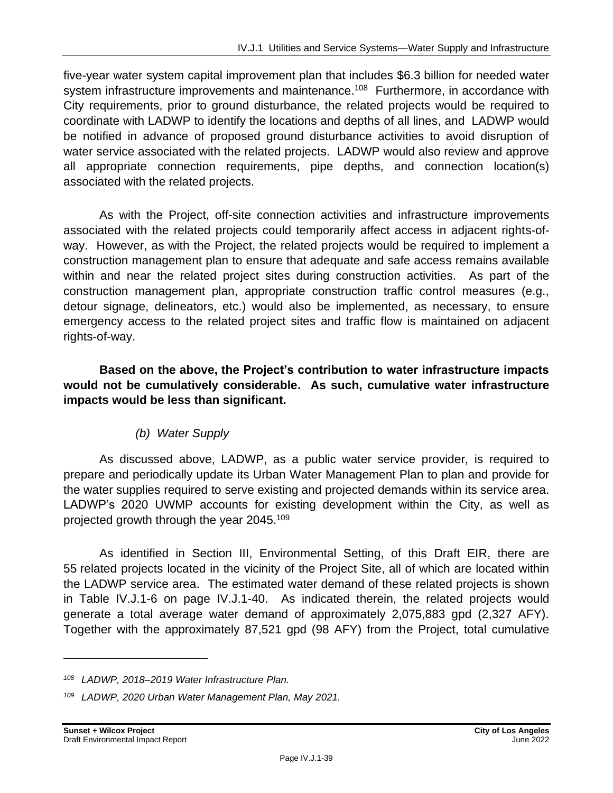five-year water system capital improvement plan that includes \$6.3 billion for needed water system infrastructure improvements and maintenance.<sup>108</sup> Furthermore, in accordance with City requirements, prior to ground disturbance, the related projects would be required to coordinate with LADWP to identify the locations and depths of all lines, and LADWP would be notified in advance of proposed ground disturbance activities to avoid disruption of water service associated with the related projects. LADWP would also review and approve all appropriate connection requirements, pipe depths, and connection location(s) associated with the related projects.

As with the Project, off-site connection activities and infrastructure improvements associated with the related projects could temporarily affect access in adjacent rights-ofway. However, as with the Project, the related projects would be required to implement a construction management plan to ensure that adequate and safe access remains available within and near the related project sites during construction activities. As part of the construction management plan, appropriate construction traffic control measures (e.g., detour signage, delineators, etc.) would also be implemented, as necessary, to ensure emergency access to the related project sites and traffic flow is maintained on adjacent rights-of-way.

**Based on the above, the Project's contribution to water infrastructure impacts would not be cumulatively considerable. As such, cumulative water infrastructure impacts would be less than significant.**

#### *(b) Water Supply*

As discussed above, LADWP, as a public water service provider, is required to prepare and periodically update its Urban Water Management Plan to plan and provide for the water supplies required to serve existing and projected demands within its service area. LADWP's 2020 UWMP accounts for existing development within the City, as well as projected growth through the year 2045. 109

As identified in Section III, Environmental Setting, of this Draft EIR, there are 55 related projects located in the vicinity of the Project Site, all of which are located within the LADWP service area. The estimated water demand of these related projects is shown in Table IV.J.1-6 on page IV.J.1-40. As indicated therein, the related projects would generate a total average water demand of approximately 2,075,883 gpd (2,327 AFY). Together with the approximately 87,521 gpd (98 AFY) from the Project, total cumulative

*<sup>108</sup> LADWP, 2018–2019 Water Infrastructure Plan.*

*<sup>109</sup> LADWP, 2020 Urban Water Management Plan, May 2021.*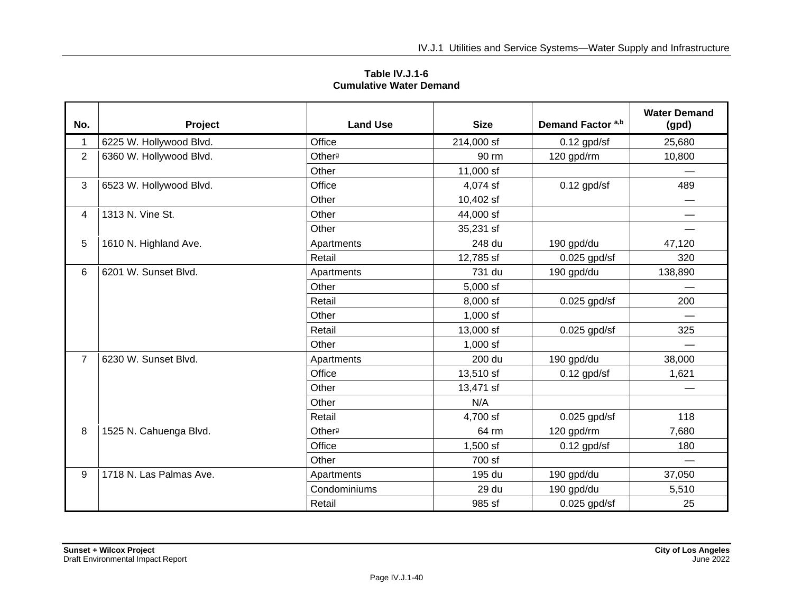| Table IV.J.1-6                 |
|--------------------------------|
| <b>Cumulative Water Demand</b> |

| No.            | Project                 | <b>Land Use</b>    | <b>Size</b> | Demand Factor a,b | <b>Water Demand</b><br>(gpd) |
|----------------|-------------------------|--------------------|-------------|-------------------|------------------------------|
| 1              | 6225 W. Hollywood Blvd. | Office             | 214,000 sf  | $0.12$ gpd/sf     | 25,680                       |
| $\overline{2}$ | 6360 W. Hollywood Blvd. | Other <sup>g</sup> | 90 rm       | 120 gpd/rm        | 10,800                       |
|                |                         | Other              | 11,000 sf   |                   |                              |
| 3              | 6523 W. Hollywood Blvd. | Office             | 4,074 sf    | $0.12$ gpd/sf     | 489                          |
|                |                         | Other              | 10,402 sf   |                   |                              |
| 4              | 1313 N. Vine St.        | Other              | 44,000 sf   |                   |                              |
|                |                         | Other              | 35,231 sf   |                   |                              |
| 5              | 1610 N. Highland Ave.   | Apartments         | 248 du      | 190 gpd/du        | 47,120                       |
|                |                         | Retail             | 12,785 sf   | $0.025$ gpd/sf    | 320                          |
| 6              | 6201 W. Sunset Blvd.    | Apartments         | 731 du      | 190 gpd/du        | 138,890                      |
|                |                         | Other              | 5,000 sf    |                   |                              |
|                |                         | Retail             | 8,000 sf    | $0.025$ gpd/sf    | 200                          |
|                |                         | Other              | 1,000 sf    |                   |                              |
|                |                         | Retail             | 13,000 sf   | $0.025$ gpd/sf    | 325                          |
|                |                         | Other              | $1,000$ sf  |                   |                              |
| $\overline{7}$ | 6230 W. Sunset Blvd.    | Apartments         | 200 du      | 190 gpd/du        | 38,000                       |
|                |                         | Office             | 13,510 sf   | $0.12$ gpd/sf     | 1,621                        |
|                |                         | Other              | 13,471 sf   |                   |                              |
|                |                         | Other              | N/A         |                   |                              |
|                |                         | Retail             | 4,700 sf    | $0.025$ gpd/sf    | 118                          |
| 8              | 1525 N. Cahuenga Blvd.  | Other <sup>g</sup> | 64 rm       | 120 gpd/rm        | 7,680                        |
|                |                         | Office             | 1,500 sf    | $0.12$ gpd/sf     | 180                          |
|                |                         | Other              | 700 sf      |                   |                              |
| 9              | 1718 N. Las Palmas Ave. | Apartments         | 195 du      | 190 gpd/du        | 37,050                       |
|                |                         | Condominiums       | 29 du       | 190 gpd/du        | 5,510                        |
|                |                         | Retail             | 985 sf      | $0.025$ gpd/sf    | 25                           |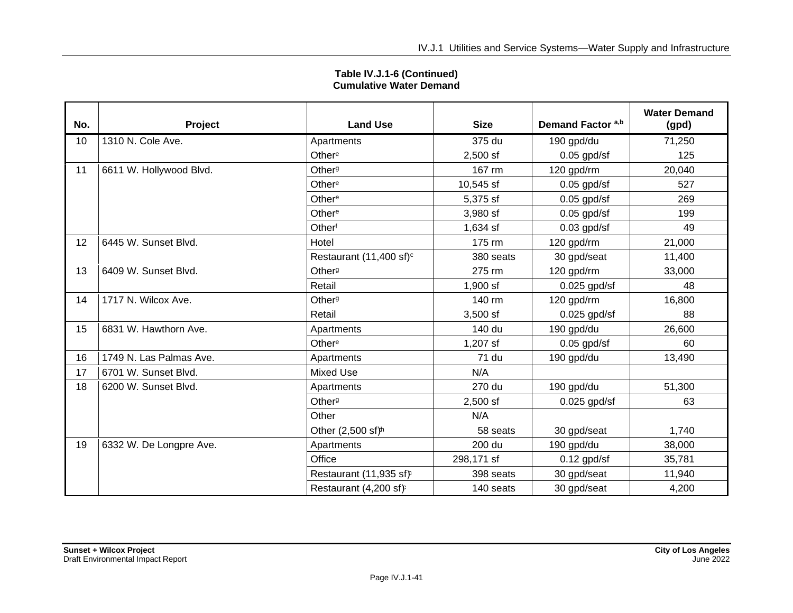| No. | Project                 | <b>Land Use</b>                     | <b>Size</b> | Demand Factor a,b | <b>Water Demand</b><br>(gpd) |
|-----|-------------------------|-------------------------------------|-------------|-------------------|------------------------------|
| 10  | 1310 N. Cole Ave.       | Apartments                          | 375 du      | 190 gpd/du        | 71,250                       |
|     |                         | Other <sup>e</sup>                  | $2,500$ sf  | $0.05$ gpd/sf     | 125                          |
| 11  | 6611 W. Hollywood Blvd. | Other <sup>g</sup>                  | 167 rm      | 120 gpd/rm        | 20,040                       |
|     |                         | Other <sup>e</sup>                  | 10,545 sf   | $0.05$ gpd/sf     | 527                          |
|     |                         | Other <sup>e</sup>                  | 5,375 sf    | $0.05$ gpd/sf     | 269                          |
|     |                         | Other <sup>e</sup>                  | 3,980 sf    | $0.05$ gpd/sf     | 199                          |
|     |                         | Otherf                              | 1,634 sf    | $0.03$ gpd/sf     | 49                           |
| 12  | 6445 W. Sunset Blvd.    | Hotel                               | 175 rm      | 120 gpd/rm        | 21,000                       |
|     |                         | Restaurant (11,400 sf) <sup>c</sup> | 380 seats   | 30 gpd/seat       | 11,400                       |
| 13  | 6409 W. Sunset Blvd.    | Other <sup>g</sup>                  | 275 rm      | 120 gpd/rm        | 33,000                       |
|     |                         | Retail                              | $1,900$ sf  | $0.025$ gpd/sf    | 48                           |
| 14  | 1717 N. Wilcox Ave.     | Other <sup>g</sup>                  | 140 rm      | 120 gpd/rm        | 16,800                       |
|     |                         | Retail                              | 3,500 sf    | $0.025$ gpd/sf    | 88                           |
| 15  | 6831 W. Hawthorn Ave.   | Apartments                          | 140 du      | 190 gpd/du        | 26,600                       |
|     |                         | Other <sup>e</sup>                  | 1,207 sf    | $0.05$ gpd/sf     | 60                           |
| 16  | 1749 N. Las Palmas Ave. | Apartments                          | 71 du       | 190 gpd/du        | 13,490                       |
| 17  | 6701 W. Sunset Blvd.    | <b>Mixed Use</b>                    | N/A         |                   |                              |
| 18  | 6200 W. Sunset Blvd.    | Apartments                          | 270 du      | 190 gpd/du        | 51,300                       |
|     |                         | Other <sup>g</sup>                  | $2,500$ sf  | $0.025$ gpd/sf    | 63                           |
|     |                         | Other                               | N/A         |                   |                              |
|     |                         | Other (2,500 sf) <sup>th</sup>      | 58 seats    | 30 gpd/seat       | 1,740                        |
| 19  | 6332 W. De Longpre Ave. | Apartments                          | 200 du      | 190 gpd/du        | 38,000                       |
|     |                         | Office                              | 298,171 sf  | $0.12$ gpd/sf     | 35,781                       |
|     |                         | Restaurant (11,935 sf)              | 398 seats   | 30 gpd/seat       | 11,940                       |
|     |                         | Restaurant (4,200 sf)               | 140 seats   | 30 gpd/seat       | 4,200                        |

#### **Table IV.J.1-6 (Continued) Cumulative Water Demand**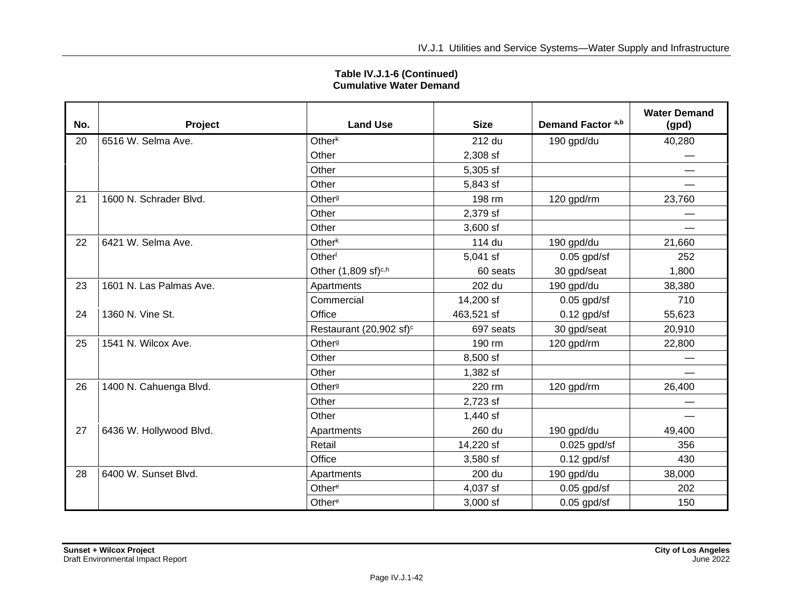| No. | Project                 | <b>Land Use</b>                     | <b>Size</b> | Demand Factor a,b | <b>Water Demand</b><br>(gpd) |
|-----|-------------------------|-------------------------------------|-------------|-------------------|------------------------------|
| 20  | 6516 W. Selma Ave.      | Other <sup>k</sup>                  | 212 du      | 190 gpd/du        | 40,280                       |
|     |                         | Other                               | 2,308 sf    |                   |                              |
|     |                         | Other                               | 5,305 sf    |                   | —                            |
|     |                         | Other                               | 5,843 sf    |                   |                              |
| 21  | 1600 N. Schrader Blvd.  | Other <sup>g</sup>                  | 198 rm      | 120 gpd/rm        | 23,760                       |
|     |                         | Other                               | 2,379 sf    |                   |                              |
|     |                         | Other                               | $3,600$ sf  |                   |                              |
| 22  | 6421 W. Selma Ave.      | Other <sup>k</sup>                  | 114 du      | 190 gpd/du        | 21,660                       |
|     |                         | Other                               | 5,041 sf    | $0.05$ gpd/sf     | 252                          |
|     |                         | Other (1,809 sf) <sup>c,h</sup>     | 60 seats    | 30 gpd/seat       | 1,800                        |
| 23  | 1601 N. Las Palmas Ave. | Apartments                          | 202 du      | 190 gpd/du        | 38,380                       |
|     |                         | Commercial                          | 14,200 sf   | $0.05$ gpd/sf     | 710                          |
| 24  | 1360 N. Vine St.        | Office                              | 463,521 sf  | $0.12$ gpd/sf     | 55,623                       |
|     |                         | Restaurant (20,902 sf) <sup>c</sup> | 697 seats   | 30 gpd/seat       | 20,910                       |
| 25  | 1541 N. Wilcox Ave.     | Other <sup>g</sup>                  | 190 rm      | 120 gpd/rm        | 22,800                       |
|     |                         | Other                               | 8,500 sf    |                   |                              |
|     |                         | Other                               | 1,382 sf    |                   |                              |
| 26  | 1400 N. Cahuenga Blvd.  | Other <sup>g</sup>                  | 220 rm      | 120 gpd/rm        | 26,400                       |
|     |                         | Other                               | 2,723 sf    |                   |                              |
|     |                         | Other                               | 1,440 sf    |                   | <u>e a</u>                   |
| 27  | 6436 W. Hollywood Blvd. | Apartments                          | 260 du      | 190 gpd/du        | 49,400                       |
|     |                         | Retail                              | 14,220 sf   | $0.025$ gpd/sf    | 356                          |
|     |                         | Office                              | 3,580 sf    | $0.12$ gpd/sf     | 430                          |
| 28  | 6400 W. Sunset Blvd.    | Apartments                          | 200 du      | 190 gpd/du        | 38,000                       |
|     |                         | Other <sup>e</sup>                  | 4,037 sf    | $0.05$ gpd/sf     | 202                          |
|     |                         | Other <sup>e</sup>                  | 3,000 sf    | $0.05$ gpd/sf     | 150                          |

**Table IV.J.1-6 (Continued) Cumulative Water Demand**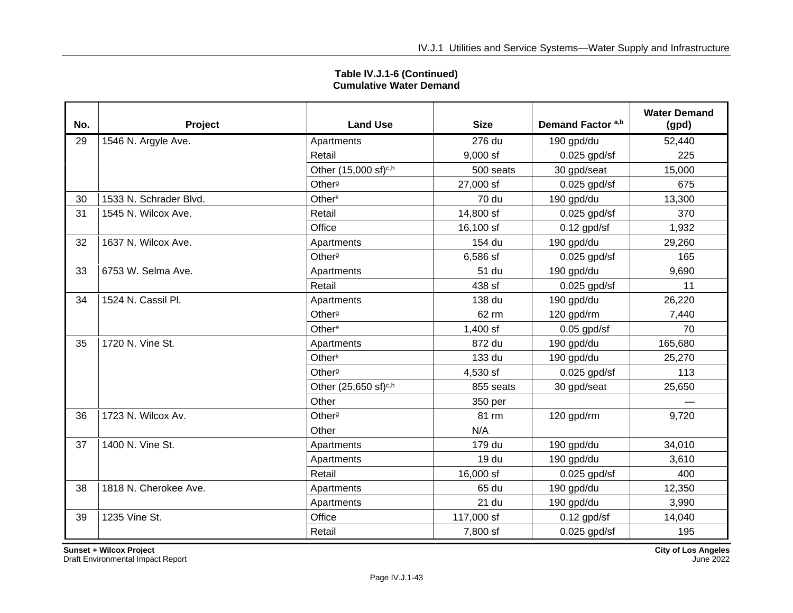| Table IV.J.1-6 (Continued)     |
|--------------------------------|
| <b>Cumulative Water Demand</b> |

| No. | Project                | <b>Land Use</b>                  | <b>Size</b> | Demand Factor a,b | <b>Water Demand</b><br>(gpd) |
|-----|------------------------|----------------------------------|-------------|-------------------|------------------------------|
| 29  | 1546 N. Argyle Ave.    | Apartments                       | 276 du      | 190 gpd/du        | 52,440                       |
|     |                        | Retail                           | $9,000$ sf  | $0.025$ gpd/sf    | 225                          |
|     |                        | Other (15,000 sf) <sup>c,h</sup> | 500 seats   | 30 gpd/seat       | 15,000                       |
|     |                        | Other <sup>g</sup>               | 27,000 sf   | $0.025$ gpd/sf    | 675                          |
| 30  | 1533 N. Schrader Blvd. | Other <sup>k</sup>               | 70 du       | 190 gpd/du        | 13,300                       |
| 31  | 1545 N. Wilcox Ave.    | Retail                           | 14,800 sf   | $0.025$ gpd/sf    | 370                          |
|     |                        | Office                           | 16,100 sf   | $0.12$ gpd/sf     | 1,932                        |
| 32  | 1637 N. Wilcox Ave.    | Apartments                       | 154 du      | 190 gpd/du        | 29,260                       |
|     |                        | Other <sup>g</sup>               | 6,586 sf    | $0.025$ gpd/sf    | 165                          |
| 33  | 6753 W. Selma Ave.     | Apartments                       | 51 du       | 190 gpd/du        | 9,690                        |
|     |                        | Retail                           | 438 sf      | $0.025$ gpd/sf    | 11                           |
| 34  | 1524 N. Cassil Pl.     | Apartments                       | 138 du      | 190 gpd/du        | 26,220                       |
|     |                        | Other <sup>g</sup>               | 62 rm       | 120 gpd/rm        | 7,440                        |
|     |                        | Other <sup>e</sup>               | 1,400 sf    | $0.05$ gpd/sf     | 70                           |
| 35  | 1720 N. Vine St.       | Apartments                       | 872 du      | 190 gpd/du        | 165,680                      |
|     |                        | Other <sup>k</sup>               | 133 du      | 190 gpd/du        | 25,270                       |
|     |                        | Other <sup>g</sup>               | 4,530 sf    | $0.025$ gpd/sf    | 113                          |
|     |                        | Other (25,650 sf) <sup>c,h</sup> | 855 seats   | 30 gpd/seat       | 25,650                       |
|     |                        | Other                            | 350 per     |                   |                              |
| 36  | 1723 N. Wilcox Av.     | Other <sup>g</sup>               | 81 rm       | 120 gpd/rm        | 9,720                        |
|     |                        | Other                            | N/A         |                   |                              |
| 37  | 1400 N. Vine St.       | Apartments                       | 179 du      | 190 gpd/du        | 34,010                       |
|     |                        | Apartments                       | 19 du       | 190 gpd/du        | 3,610                        |
|     |                        | Retail                           | 16,000 sf   | $0.025$ gpd/sf    | 400                          |
| 38  | 1818 N. Cherokee Ave.  | Apartments                       | 65 du       | 190 gpd/du        | 12,350                       |
|     |                        | Apartments                       | 21 du       | 190 gpd/du        | 3,990                        |
| 39  | 1235 Vine St.          | Office                           | 117,000 sf  | $0.12$ gpd/sf     | 14,040                       |
|     |                        | Retail                           | 7,800 sf    | $0.025$ gpd/sf    | 195                          |

**Sunset + Wilcox Project City of Los Angeles**

Draft Environmental Impact Report June 2022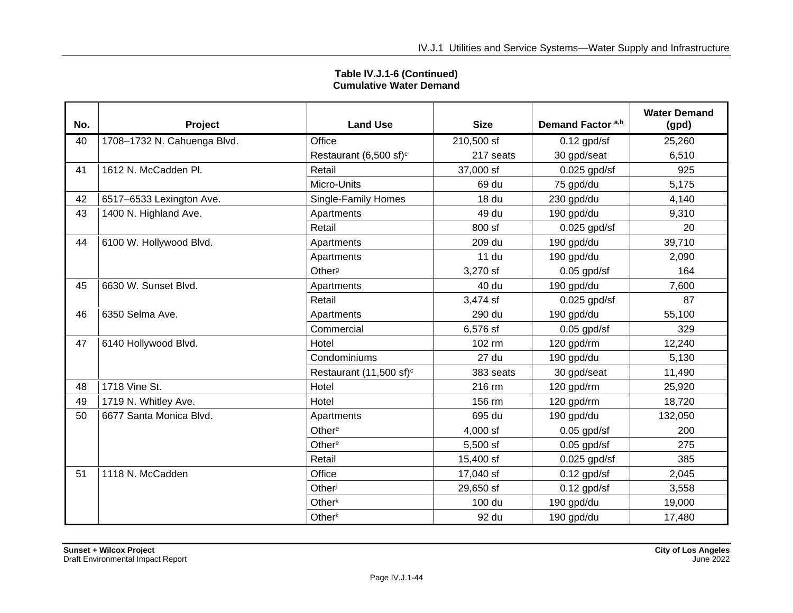| Table IV.J.1-6 (Continued)<br><b>Cumulative Water Demand</b> |
|--------------------------------------------------------------|
|--------------------------------------------------------------|

| No. | Project                     | <b>Land Use</b>                     | <b>Size</b>  | Demand Factor a,b | <b>Water Demand</b><br>(gpd) |
|-----|-----------------------------|-------------------------------------|--------------|-------------------|------------------------------|
| 40  | 1708-1732 N. Cahuenga Blvd. | Office                              | 210,500 sf   | $0.12$ gpd/sf     | 25,260                       |
|     |                             | Restaurant (6,500 sf) <sup>c</sup>  | 217 seats    | 30 gpd/seat       | 6,510                        |
| 41  | 1612 N. McCadden Pl.        | Retail                              | 37,000 sf    | $0.025$ gpd/sf    | 925                          |
|     |                             | Micro-Units                         | 69 du        | 75 gpd/du         | 5,175                        |
| 42  | 6517-6533 Lexington Ave.    | Single-Family Homes                 | <b>18 du</b> | 230 gpd/du        | 4,140                        |
| 43  | 1400 N. Highland Ave.       | Apartments                          | 49 du        | 190 gpd/du        | 9,310                        |
|     |                             | Retail                              | 800 sf       | $0.025$ gpd/sf    | 20                           |
| 44  | 6100 W. Hollywood Blvd.     | Apartments                          | 209 du       | 190 gpd/du        | 39,710                       |
|     |                             | Apartments                          | <b>11 du</b> | 190 gpd/du        | 2,090                        |
|     |                             | Other <sup>g</sup>                  | 3,270 sf     | $0.05$ gpd/sf     | 164                          |
| 45  | 6630 W. Sunset Blvd.        | Apartments                          | 40 du        | 190 gpd/du        | 7,600                        |
|     |                             | Retail                              | 3,474 sf     | $0.025$ gpd/sf    | 87                           |
| 46  | 6350 Selma Ave.             | Apartments                          | 290 du       | 190 gpd/du        | 55,100                       |
|     |                             | Commercial                          | 6,576 sf     | $0.05$ gpd/sf     | 329                          |
| 47  | 6140 Hollywood Blvd.        | Hotel                               | 102 rm       | 120 gpd/rm        | 12,240                       |
|     |                             | Condominiums                        | 27 du        | 190 gpd/du        | 5,130                        |
|     |                             | Restaurant (11,500 sf) <sup>c</sup> | 383 seats    | 30 gpd/seat       | 11,490                       |
| 48  | 1718 Vine St.               | Hotel                               | 216 rm       | 120 gpd/rm        | 25,920                       |
| 49  | 1719 N. Whitley Ave.        | Hotel                               | 156 rm       | 120 gpd/rm        | 18,720                       |
| 50  | 6677 Santa Monica Blvd.     | Apartments                          | 695 du       | 190 gpd/du        | 132,050                      |
|     |                             | Other <sup>e</sup>                  | 4,000 sf     | $0.05$ gpd/sf     | 200                          |
|     |                             | Other <sup>e</sup>                  | 5,500 sf     | $0.05$ gpd/sf     | 275                          |
|     |                             | Retail                              | 15,400 sf    | $0.025$ gpd/sf    | 385                          |
| 51  | 1118 N. McCadden            | Office                              | 17,040 sf    | $0.12$ gpd/sf     | 2,045                        |
|     |                             | Otheri                              | 29,650 sf    | $0.12$ gpd/sf     | 3,558                        |
|     |                             | Other <sup>k</sup>                  | 100 du       | 190 gpd/du        | 19,000                       |
|     |                             | Other <sup>k</sup>                  | 92 du        | 190 gpd/du        | 17,480                       |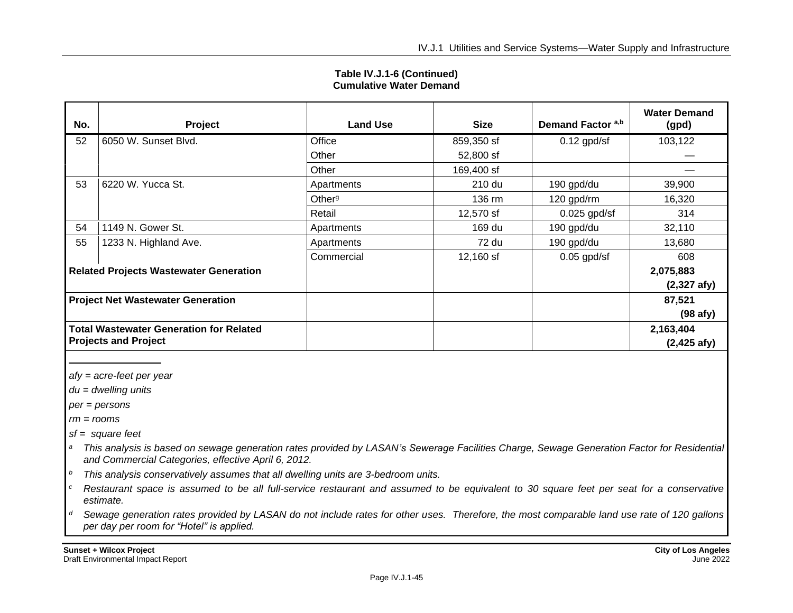| No.                                                                           | Project               | <b>Land Use</b>    | <b>Size</b> | Demand Factor a,b | <b>Water Demand</b><br>(gpd)       |
|-------------------------------------------------------------------------------|-----------------------|--------------------|-------------|-------------------|------------------------------------|
| 52                                                                            | 6050 W. Sunset Blvd.  | Office             | 859,350 sf  | $0.12$ gpd/sf     | 103,122                            |
|                                                                               |                       | Other              | 52,800 sf   |                   |                                    |
|                                                                               |                       | Other              | 169,400 sf  |                   |                                    |
| 53                                                                            | 6220 W. Yucca St.     | Apartments         | 210 du      | 190 gpd/du        | 39,900                             |
|                                                                               |                       | Other <sup>g</sup> | 136 rm      | 120 gpd/rm        | 16,320                             |
|                                                                               |                       | Retail             | 12,570 sf   | $0.025$ gpd/sf    | 314                                |
| 54                                                                            | 1149 N. Gower St.     | Apartments         | 169 du      | 190 gpd/du        | 32,110                             |
| 55                                                                            | 1233 N. Highland Ave. | Apartments         | 72 du       | 190 gpd/du        | 13,680                             |
|                                                                               |                       | Commercial         | 12,160 sf   | $0.05$ gpd/sf     | 608                                |
| <b>Related Projects Wastewater Generation</b>                                 |                       |                    |             |                   | 2,075,883                          |
|                                                                               |                       |                    |             |                   | $(2,327 \text{ afy})$              |
| <b>Project Net Wastewater Generation</b>                                      |                       |                    |             |                   | 87,521<br>$(98$ afy)               |
| <b>Total Wastewater Generation for Related</b><br><b>Projects and Project</b> |                       |                    |             |                   | 2,163,404<br>$(2,425 \text{ afy})$ |

#### **Table IV.J.1-6 (Continued) Cumulative Water Demand**

*afy = acre-feet per year*

*du = dwelling units*

*per = persons*

*rm = rooms*

*sf = square feet*

- *<sup>a</sup> This analysis is based on sewage generation rates provided by LASAN's Sewerage Facilities Charge, Sewage Generation Factor for Residential and Commercial Categories, effective April 6, 2012.*
- *<sup>b</sup> This analysis conservatively assumes that all dwelling units are 3-bedroom units.*
- *<sup>c</sup> Restaurant space is assumed to be all full-service restaurant and assumed to be equivalent to 30 square feet per seat for a conservative estimate.*
- *<sup>d</sup> Sewage generation rates provided by LASAN do not include rates for other uses. Therefore, the most comparable land use rate of 120 gallons per day per room for "Hotel" is applied.*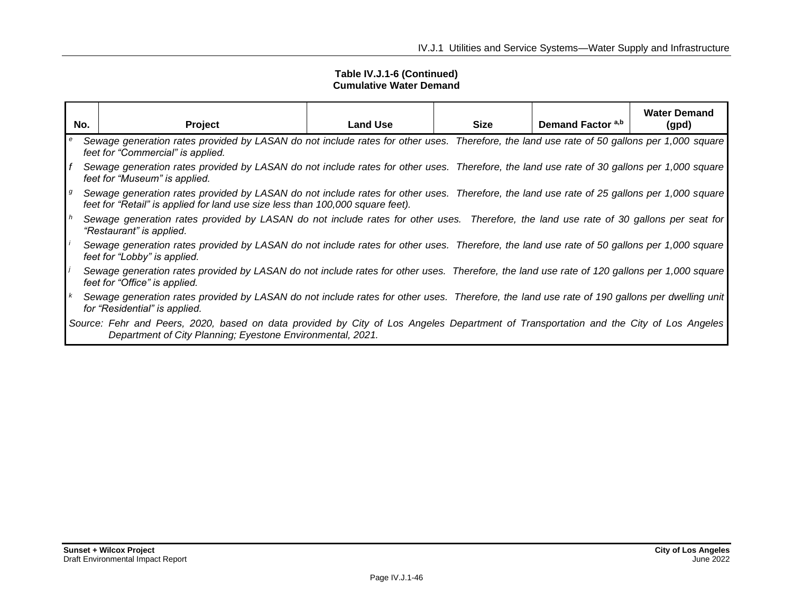#### **Table IV.J.1-6 (Continued) Cumulative Water Demand**

|              | No.<br>Project                                                                                                                                                                                                               | <b>Land Use</b> | <b>Size</b> | Demand Factor a,b | <b>Water Demand</b><br>(gpd) |  |  |
|--------------|------------------------------------------------------------------------------------------------------------------------------------------------------------------------------------------------------------------------------|-----------------|-------------|-------------------|------------------------------|--|--|
| e            | Sewage generation rates provided by LASAN do not include rates for other uses. Therefore, the land use rate of 50 gallons per 1,000 square<br>feet for "Commercial" is applied.                                              |                 |             |                   |                              |  |  |
|              | Sewage generation rates provided by LASAN do not include rates for other uses. Therefore, the land use rate of 30 gallons per 1,000 square<br>feet for "Museum" is applied.                                                  |                 |             |                   |                              |  |  |
| $\mathsf{g}$ | Sewage generation rates provided by LASAN do not include rates for other uses. Therefore, the land use rate of 25 gallons per 1,000 square<br>feet for "Retail" is applied for land use size less than 100,000 square feet). |                 |             |                   |                              |  |  |
| $\mathsf{h}$ | Sewage generation rates provided by LASAN do not include rates for other uses. Therefore, the land use rate of 30 gallons per seat for<br>"Restaurant" is applied.                                                           |                 |             |                   |                              |  |  |
|              | Sewage generation rates provided by LASAN do not include rates for other uses. Therefore, the land use rate of 50 gallons per 1,000 square<br>feet for "Lobby" is applied.                                                   |                 |             |                   |                              |  |  |
|              | Sewage generation rates provided by LASAN do not include rates for other uses. Therefore, the land use rate of 120 gallons per 1,000 square<br>feet for "Office" is applied.                                                 |                 |             |                   |                              |  |  |
|              | Sewage generation rates provided by LASAN do not include rates for other uses. Therefore, the land use rate of 190 gallons per dwelling unit<br>for "Residential" is applied.                                                |                 |             |                   |                              |  |  |
|              | Source: Fehr and Peers, 2020, based on data provided by City of Los Angeles Department of Transportation and the City of Los Angeles<br>Department of City Planning; Eyestone Environmental, 2021.                           |                 |             |                   |                              |  |  |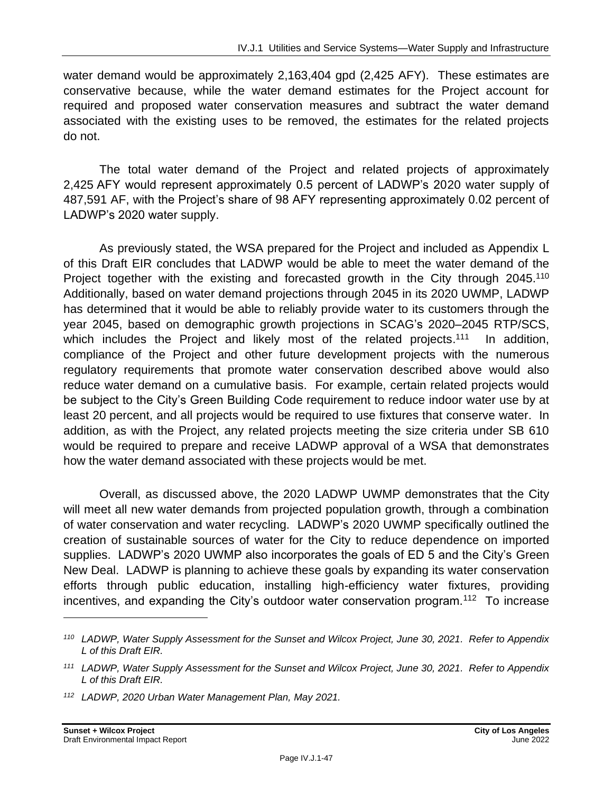water demand would be approximately 2,163,404 gpd (2,425 AFY). These estimates are conservative because, while the water demand estimates for the Project account for required and proposed water conservation measures and subtract the water demand associated with the existing uses to be removed, the estimates for the related projects do not.

The total water demand of the Project and related projects of approximately 2,425 AFY would represent approximately 0.5 percent of LADWP's 2020 water supply of 487,591 AF, with the Project's share of 98 AFY representing approximately 0.02 percent of LADWP's 2020 water supply.

As previously stated, the WSA prepared for the Project and included as Appendix L of this Draft EIR concludes that LADWP would be able to meet the water demand of the Project together with the existing and forecasted growth in the City through 2045.<sup>110</sup> Additionally, based on water demand projections through 2045 in its 2020 UWMP, LADWP has determined that it would be able to reliably provide water to its customers through the year 2045, based on demographic growth projections in SCAG's 2020–2045 RTP/SCS, which includes the Project and likely most of the related projects.<sup>111</sup> In addition, compliance of the Project and other future development projects with the numerous regulatory requirements that promote water conservation described above would also reduce water demand on a cumulative basis. For example, certain related projects would be subject to the City's Green Building Code requirement to reduce indoor water use by at least 20 percent, and all projects would be required to use fixtures that conserve water. In addition, as with the Project, any related projects meeting the size criteria under SB 610 would be required to prepare and receive LADWP approval of a WSA that demonstrates how the water demand associated with these projects would be met.

Overall, as discussed above, the 2020 LADWP UWMP demonstrates that the City will meet all new water demands from projected population growth, through a combination of water conservation and water recycling. LADWP's 2020 UWMP specifically outlined the creation of sustainable sources of water for the City to reduce dependence on imported supplies. LADWP's 2020 UWMP also incorporates the goals of ED 5 and the City's Green New Deal. LADWP is planning to achieve these goals by expanding its water conservation efforts through public education, installing high-efficiency water fixtures, providing incentives, and expanding the City's outdoor water conservation program.<sup>112</sup> To increase

*<sup>110</sup> LADWP, Water Supply Assessment for the Sunset and Wilcox Project, June 30, 2021. Refer to Appendix L of this Draft EIR.*

*<sup>111</sup> LADWP, Water Supply Assessment for the Sunset and Wilcox Project, June 30, 2021. Refer to Appendix L of this Draft EIR.*

*<sup>112</sup> LADWP, 2020 Urban Water Management Plan, May 2021.*